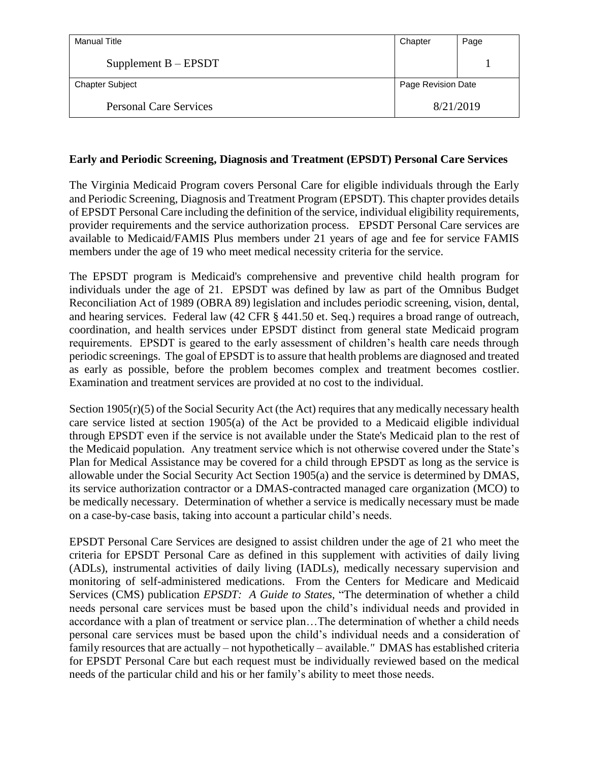| Manual Title                  | Chapter            | Page |
|-------------------------------|--------------------|------|
| Supplement $B - EPSDT$        |                    |      |
| <b>Chapter Subject</b>        | Page Revision Date |      |
| <b>Personal Care Services</b> | 8/21/2019          |      |

#### **Early and Periodic Screening, Diagnosis and Treatment (EPSDT) Personal Care Services**

The Virginia Medicaid Program covers Personal Care for eligible individuals through the Early and Periodic Screening, Diagnosis and Treatment Program (EPSDT). This chapter provides details of EPSDT Personal Care including the definition of the service, individual eligibility requirements, provider requirements and the service authorization process. EPSDT Personal Care services are available to Medicaid/FAMIS Plus members under 21 years of age and fee for service FAMIS members under the age of 19 who meet medical necessity criteria for the service.

The EPSDT program is Medicaid's comprehensive and preventive child health program for individuals under the age of 21. EPSDT was defined by law as part of the Omnibus Budget Reconciliation Act of 1989 (OBRA 89) legislation and includes periodic screening, vision, dental, and hearing services. Federal law (42 CFR § 441.50 et. Seq.) requires a broad range of outreach, coordination, and health services under EPSDT distinct from general state Medicaid program requirements. EPSDT is geared to the early assessment of children's health care needs through periodic screenings. The goal of EPSDT is to assure that health problems are diagnosed and treated as early as possible, before the problem becomes complex and treatment becomes costlier. Examination and treatment services are provided at no cost to the individual.

Section 1905(r)(5) of the Social Security Act (the Act) requires that any medically necessary health care service listed at section 1905(a) of the Act be provided to a Medicaid eligible individual through EPSDT even if the service is not available under the State's Medicaid plan to the rest of the Medicaid population. Any treatment service which is not otherwise covered under the State's Plan for Medical Assistance may be covered for a child through EPSDT as long as the service is allowable under the Social Security Act Section 1905(a) and the service is determined by DMAS, its service authorization contractor or a DMAS-contracted managed care organization (MCO) to be medically necessary. Determination of whether a service is medically necessary must be made on a case-by-case basis, taking into account a particular child's needs.

EPSDT Personal Care Services are designed to assist children under the age of 21 who meet the criteria for EPSDT Personal Care as defined in this supplement with activities of daily living (ADLs), instrumental activities of daily living (IADLs), medically necessary supervision and monitoring of self-administered medications. From the Centers for Medicare and Medicaid Services (CMS) publication *EPSDT: A Guide to States,* "The determination of whether a child needs personal care services must be based upon the child's individual needs and provided in accordance with a plan of treatment or service plan…The determination of whether a child needs personal care services must be based upon the child's individual needs and a consideration of family resources that are actually – not hypothetically – available.*"* DMAS has established criteria for EPSDT Personal Care but each request must be individually reviewed based on the medical needs of the particular child and his or her family's ability to meet those needs.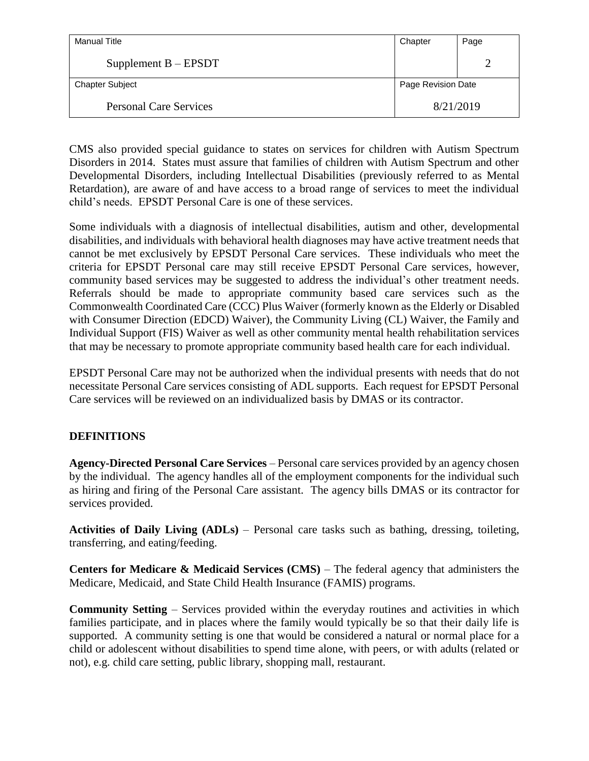| Manual Title                  | Chapter            | Page |
|-------------------------------|--------------------|------|
| Supplement $B - EPSDT$        |                    |      |
| <b>Chapter Subject</b>        | Page Revision Date |      |
| <b>Personal Care Services</b> | 8/21/2019          |      |

CMS also provided special guidance to states on services for children with Autism Spectrum Disorders in 2014. States must assure that families of children with Autism Spectrum and other Developmental Disorders, including Intellectual Disabilities (previously referred to as Mental Retardation), are aware of and have access to a broad range of services to meet the individual child's needs. EPSDT Personal Care is one of these services.

Some individuals with a diagnosis of intellectual disabilities, autism and other, developmental disabilities, and individuals with behavioral health diagnoses may have active treatment needs that cannot be met exclusively by EPSDT Personal Care services. These individuals who meet the criteria for EPSDT Personal care may still receive EPSDT Personal Care services, however, community based services may be suggested to address the individual's other treatment needs. Referrals should be made to appropriate community based care services such as the Commonwealth Coordinated Care (CCC) Plus Waiver (formerly known as the Elderly or Disabled with Consumer Direction (EDCD) Waiver), the Community Living (CL) Waiver, the Family and Individual Support (FIS) Waiver as well as other community mental health rehabilitation services that may be necessary to promote appropriate community based health care for each individual.

EPSDT Personal Care may not be authorized when the individual presents with needs that do not necessitate Personal Care services consisting of ADL supports. Each request for EPSDT Personal Care services will be reviewed on an individualized basis by DMAS or its contractor.

# **DEFINITIONS**

**Agency-Directed Personal Care Services** – Personal care services provided by an agency chosen by the individual. The agency handles all of the employment components for the individual such as hiring and firing of the Personal Care assistant. The agency bills DMAS or its contractor for services provided.

**Activities of Daily Living (ADLs)** – Personal care tasks such as bathing, dressing, toileting, transferring, and eating/feeding.

**Centers for Medicare & Medicaid Services (CMS)** – The federal agency that administers the Medicare, Medicaid, and State Child Health Insurance (FAMIS) programs.

**Community Setting** – Services provided within the everyday routines and activities in which families participate, and in places where the family would typically be so that their daily life is supported. A community setting is one that would be considered a natural or normal place for a child or adolescent without disabilities to spend time alone, with peers, or with adults (related or not), e.g. child care setting, public library, shopping mall, restaurant.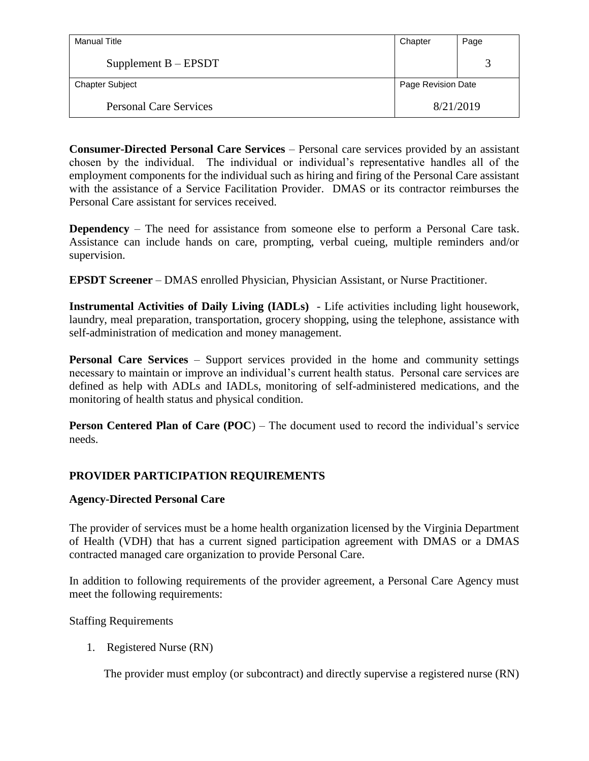| Manual Title                  | Chapter            | Page |
|-------------------------------|--------------------|------|
| Supplement $B - EPSDT$        |                    |      |
| <b>Chapter Subject</b>        | Page Revision Date |      |
| <b>Personal Care Services</b> | 8/21/2019          |      |

**Consumer-Directed Personal Care Services** – Personal care services provided by an assistant chosen by the individual. The individual or individual's representative handles all of the employment components for the individual such as hiring and firing of the Personal Care assistant with the assistance of a Service Facilitation Provider. DMAS or its contractor reimburses the Personal Care assistant for services received.

**Dependency** – The need for assistance from someone else to perform a Personal Care task. Assistance can include hands on care, prompting, verbal cueing, multiple reminders and/or supervision.

**EPSDT Screener** – DMAS enrolled Physician, Physician Assistant, or Nurse Practitioner.

**Instrumental Activities of Daily Living (IADLs)** - Life activities including light housework, laundry, meal preparation, transportation, grocery shopping, using the telephone, assistance with self-administration of medication and money management.

**Personal Care Services** – Support services provided in the home and community settings necessary to maintain or improve an individual's current health status. Personal care services are defined as help with ADLs and IADLs, monitoring of self-administered medications, and the monitoring of health status and physical condition.

**Person Centered Plan of Care (POC)** – The document used to record the individual's service needs.

# **PROVIDER PARTICIPATION REQUIREMENTS**

# **Agency-Directed Personal Care**

The provider of services must be a home health organization licensed by the Virginia Department of Health (VDH) that has a current signed participation agreement with DMAS or a DMAS contracted managed care organization to provide Personal Care.

In addition to following requirements of the provider agreement, a Personal Care Agency must meet the following requirements:

Staffing Requirements

1. Registered Nurse (RN)

The provider must employ (or subcontract) and directly supervise a registered nurse (RN)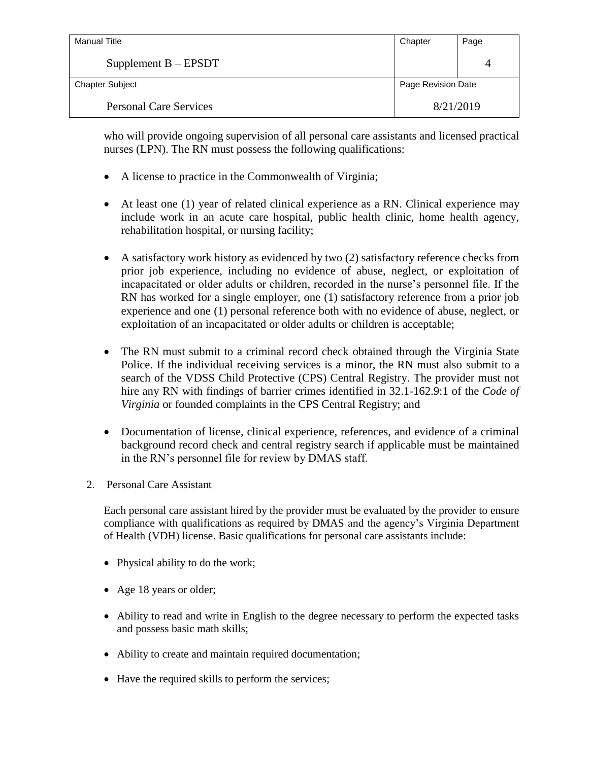| Manual Title                  | Chapter            | Page |
|-------------------------------|--------------------|------|
| Supplement $B - EPSDT$        |                    |      |
| <b>Chapter Subject</b>        | Page Revision Date |      |
| <b>Personal Care Services</b> | 8/21/2019          |      |

who will provide ongoing supervision of all personal care assistants and licensed practical nurses (LPN). The RN must possess the following qualifications:

- A license to practice in the Commonwealth of Virginia;
- At least one (1) year of related clinical experience as a RN. Clinical experience may include work in an acute care hospital, public health clinic, home health agency, rehabilitation hospital, or nursing facility;
- A satisfactory work history as evidenced by two (2) satisfactory reference checks from prior job experience, including no evidence of abuse, neglect, or exploitation of incapacitated or older adults or children, recorded in the nurse's personnel file. If the RN has worked for a single employer, one (1) satisfactory reference from a prior job experience and one (1) personal reference both with no evidence of abuse, neglect, or exploitation of an incapacitated or older adults or children is acceptable;
- The RN must submit to a criminal record check obtained through the Virginia State Police. If the individual receiving services is a minor, the RN must also submit to a search of the VDSS Child Protective (CPS) Central Registry. The provider must not hire any RN with findings of barrier crimes identified in 32.1-162.9:1 of the *Code of Virginia* or founded complaints in the CPS Central Registry; and
- Documentation of license, clinical experience, references, and evidence of a criminal background record check and central registry search if applicable must be maintained in the RN's personnel file for review by DMAS staff.
- 2. Personal Care Assistant

Each personal care assistant hired by the provider must be evaluated by the provider to ensure compliance with qualifications as required by DMAS and the agency's Virginia Department of Health (VDH) license. Basic qualifications for personal care assistants include:

- Physical ability to do the work;
- Age 18 years or older;
- Ability to read and write in English to the degree necessary to perform the expected tasks and possess basic math skills;
- Ability to create and maintain required documentation;
- Have the required skills to perform the services;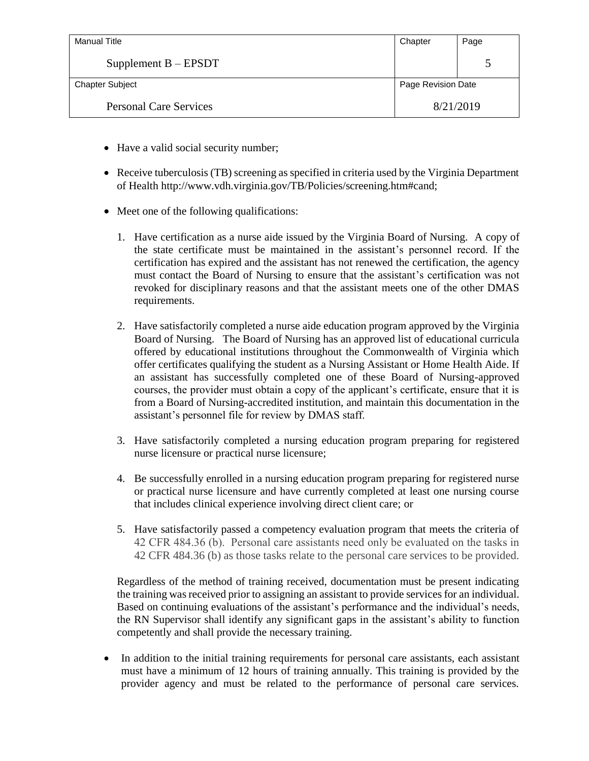| <b>Manual Title</b>           | Chapter            | Page |
|-------------------------------|--------------------|------|
| Supplement $B - EPSDT$        |                    |      |
| <b>Chapter Subject</b>        | Page Revision Date |      |
| <b>Personal Care Services</b> | 8/21/2019          |      |

- Have a valid social security number;
- Receive tuberculosis (TB) screening as specified in criteria used by the Virginia Department of Health http://www.vdh.virginia.gov/TB/Policies/screening.htm#cand;
- Meet one of the following qualifications:
	- 1. Have certification as a nurse aide issued by the Virginia Board of Nursing. A copy of the state certificate must be maintained in the assistant's personnel record. If the certification has expired and the assistant has not renewed the certification, the agency must contact the Board of Nursing to ensure that the assistant's certification was not revoked for disciplinary reasons and that the assistant meets one of the other DMAS requirements.
	- 2. Have satisfactorily completed a nurse aide education program approved by the Virginia Board of Nursing. The Board of Nursing has an approved list of educational curricula offered by educational institutions throughout the Commonwealth of Virginia which offer certificates qualifying the student as a Nursing Assistant or Home Health Aide. If an assistant has successfully completed one of these Board of Nursing-approved courses, the provider must obtain a copy of the applicant's certificate, ensure that it is from a Board of Nursing-accredited institution, and maintain this documentation in the assistant's personnel file for review by DMAS staff.
	- 3. Have satisfactorily completed a nursing education program preparing for registered nurse licensure or practical nurse licensure;
	- 4. Be successfully enrolled in a nursing education program preparing for registered nurse or practical nurse licensure and have currently completed at least one nursing course that includes clinical experience involving direct client care; or
	- 5. Have satisfactorily passed a competency evaluation program that meets the criteria of 42 CFR 484.36 (b). Personal care assistants need only be evaluated on the tasks in 42 CFR 484.36 (b) as those tasks relate to the personal care services to be provided.

Regardless of the method of training received, documentation must be present indicating the training was received prior to assigning an assistant to provide services for an individual. Based on continuing evaluations of the assistant's performance and the individual's needs, the RN Supervisor shall identify any significant gaps in the assistant's ability to function competently and shall provide the necessary training.

• In addition to the initial training requirements for personal care assistants, each assistant must have a minimum of 12 hours of training annually. This training is provided by the provider agency and must be related to the performance of personal care services.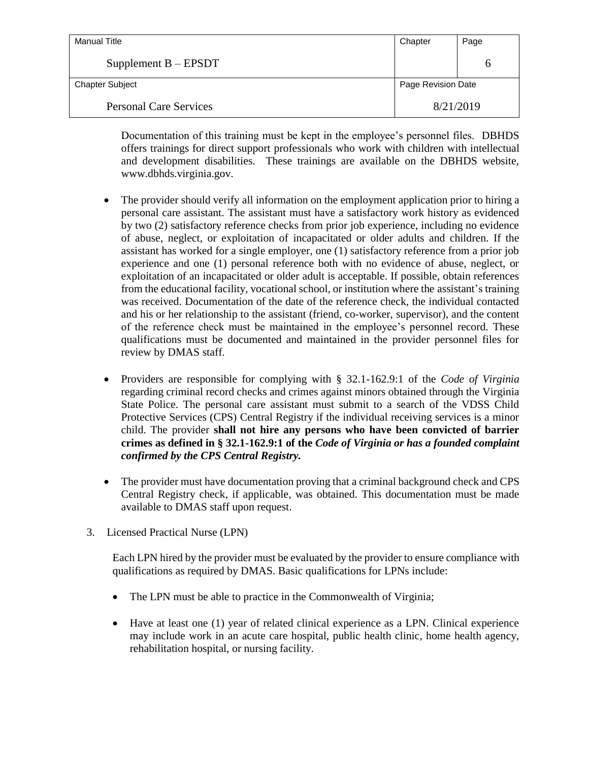| <b>Manual Title</b>           | Chapter            | Page |
|-------------------------------|--------------------|------|
| Supplement $B - EPSDT$        |                    | n    |
| <b>Chapter Subject</b>        | Page Revision Date |      |
| <b>Personal Care Services</b> | 8/21/2019          |      |

Documentation of this training must be kept in the employee's personnel files. DBHDS offers trainings for direct support professionals who work with children with intellectual and development disabilities. These trainings are available on the DBHDS website, www.dbhds.virginia.gov.

- The provider should verify all information on the employment application prior to hiring a personal care assistant. The assistant must have a satisfactory work history as evidenced by two (2) satisfactory reference checks from prior job experience, including no evidence of abuse, neglect, or exploitation of incapacitated or older adults and children. If the assistant has worked for a single employer, one (1) satisfactory reference from a prior job experience and one (1) personal reference both with no evidence of abuse, neglect, or exploitation of an incapacitated or older adult is acceptable. If possible, obtain references from the educational facility, vocational school, or institution where the assistant's training was received. Documentation of the date of the reference check, the individual contacted and his or her relationship to the assistant (friend, co-worker, supervisor), and the content of the reference check must be maintained in the employee's personnel record. These qualifications must be documented and maintained in the provider personnel files for review by DMAS staff.
- Providers are responsible for complying with § 32.1-162.9:1 of the *Code of Virginia*  regarding criminal record checks and crimes against minors obtained through the Virginia State Police. The personal care assistant must submit to a search of the VDSS Child Protective Services (CPS) Central Registry if the individual receiving services is a minor child. The provider **shall not hire any persons who have been convicted of barrier crimes as defined in § 32.1-162.9:1 of the** *Code of Virginia or has a founded complaint confirmed by the CPS Central Registry.*
- The provider must have documentation proving that a criminal background check and CPS Central Registry check, if applicable, was obtained. This documentation must be made available to DMAS staff upon request.
- 3. Licensed Practical Nurse (LPN)

Each LPN hired by the provider must be evaluated by the provider to ensure compliance with qualifications as required by DMAS. Basic qualifications for LPNs include:

- The LPN must be able to practice in the Commonwealth of Virginia;
- Have at least one (1) year of related clinical experience as a LPN. Clinical experience may include work in an acute care hospital, public health clinic, home health agency, rehabilitation hospital, or nursing facility.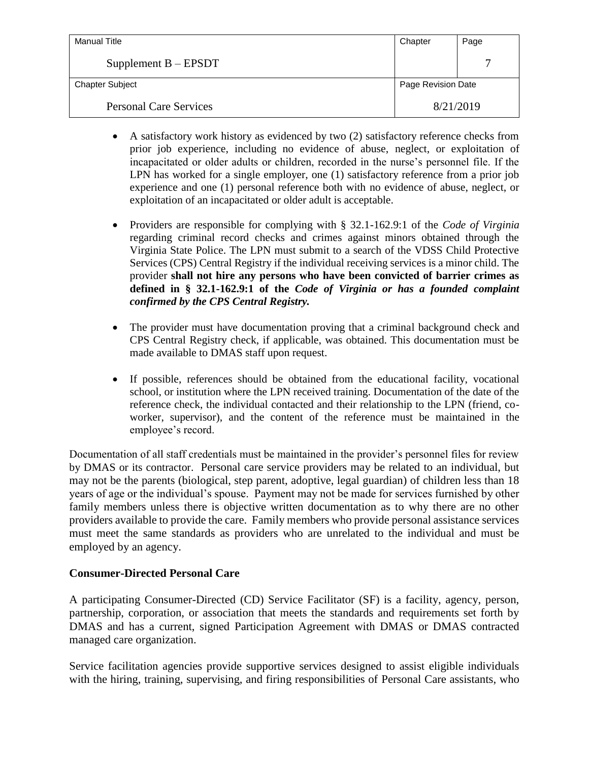| Manual Title                  | Chapter            | Page |
|-------------------------------|--------------------|------|
| Supplement $B - EPSDT$        |                    |      |
| <b>Chapter Subject</b>        | Page Revision Date |      |
| <b>Personal Care Services</b> | 8/21/2019          |      |

- A satisfactory work history as evidenced by two (2) satisfactory reference checks from prior job experience, including no evidence of abuse, neglect, or exploitation of incapacitated or older adults or children, recorded in the nurse's personnel file. If the LPN has worked for a single employer, one (1) satisfactory reference from a prior job experience and one (1) personal reference both with no evidence of abuse, neglect, or exploitation of an incapacitated or older adult is acceptable.
- Providers are responsible for complying with § 32.1-162.9:1 of the *Code of Virginia*  regarding criminal record checks and crimes against minors obtained through the Virginia State Police. The LPN must submit to a search of the VDSS Child Protective Services (CPS) Central Registry if the individual receiving services is a minor child. The provider **shall not hire any persons who have been convicted of barrier crimes as defined in § 32.1-162.9:1 of the** *Code of Virginia or has a founded complaint confirmed by the CPS Central Registry.*
- The provider must have documentation proving that a criminal background check and CPS Central Registry check, if applicable, was obtained. This documentation must be made available to DMAS staff upon request.
- If possible, references should be obtained from the educational facility, vocational school, or institution where the LPN received training. Documentation of the date of the reference check, the individual contacted and their relationship to the LPN (friend, coworker, supervisor), and the content of the reference must be maintained in the employee's record.

Documentation of all staff credentials must be maintained in the provider's personnel files for review by DMAS or its contractor. Personal care service providers may be related to an individual, but may not be the parents (biological, step parent, adoptive, legal guardian) of children less than 18 years of age or the individual's spouse. Payment may not be made for services furnished by other family members unless there is objective written documentation as to why there are no other providers available to provide the care. Family members who provide personal assistance services must meet the same standards as providers who are unrelated to the individual and must be employed by an agency.

# **Consumer-Directed Personal Care**

A participating Consumer-Directed (CD) Service Facilitator (SF) is a facility, agency, person, partnership, corporation, or association that meets the standards and requirements set forth by DMAS and has a current, signed Participation Agreement with DMAS or DMAS contracted managed care organization.

Service facilitation agencies provide supportive services designed to assist eligible individuals with the hiring, training, supervising, and firing responsibilities of Personal Care assistants, who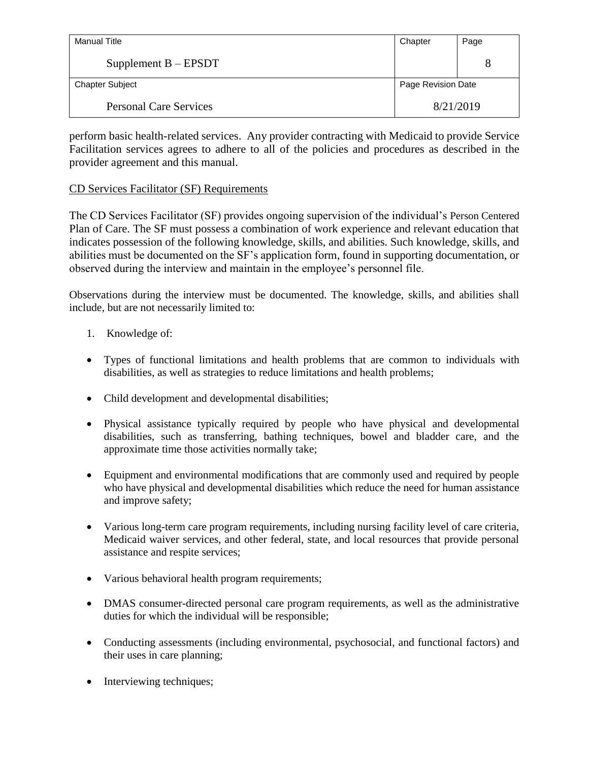| Manual Title                  | Chapter            | Page |
|-------------------------------|--------------------|------|
| Supplement $B - EPSDT$        |                    | 8    |
| <b>Chapter Subject</b>        | Page Revision Date |      |
| <b>Personal Care Services</b> | 8/21/2019          |      |

perform basic health-related services. Any provider contracting with Medicaid to provide Service Facilitation services agrees to adhere to all of the policies and procedures as described in the provider agreement and this manual.

# CD Services Facilitator (SF) Requirements

The CD Services Facilitator (SF) provides ongoing supervision of the individual's Person Centered Plan of Care. The SF must possess a combination of work experience and relevant education that indicates possession of the following knowledge, skills, and abilities. Such knowledge, skills, and abilities must be documented on the SF's application form, found in supporting documentation, or observed during the interview and maintain in the employee's personnel file.

Observations during the interview must be documented. The knowledge, skills, and abilities shall include, but are not necessarily limited to:

- 1. Knowledge of:
- Types of functional limitations and health problems that are common to individuals with disabilities, as well as strategies to reduce limitations and health problems;
- Child development and developmental disabilities;
- Physical assistance typically required by people who have physical and developmental disabilities, such as transferring, bathing techniques, bowel and bladder care, and the approximate time those activities normally take;
- Equipment and environmental modifications that are commonly used and required by people who have physical and developmental disabilities which reduce the need for human assistance and improve safety;
- Various long-term care program requirements, including nursing facility level of care criteria, Medicaid waiver services, and other federal, state, and local resources that provide personal assistance and respite services;
- Various behavioral health program requirements;
- DMAS consumer-directed personal care program requirements, as well as the administrative duties for which the individual will be responsible;
- Conducting assessments (including environmental, psychosocial, and functional factors) and their uses in care planning;
- Interviewing techniques;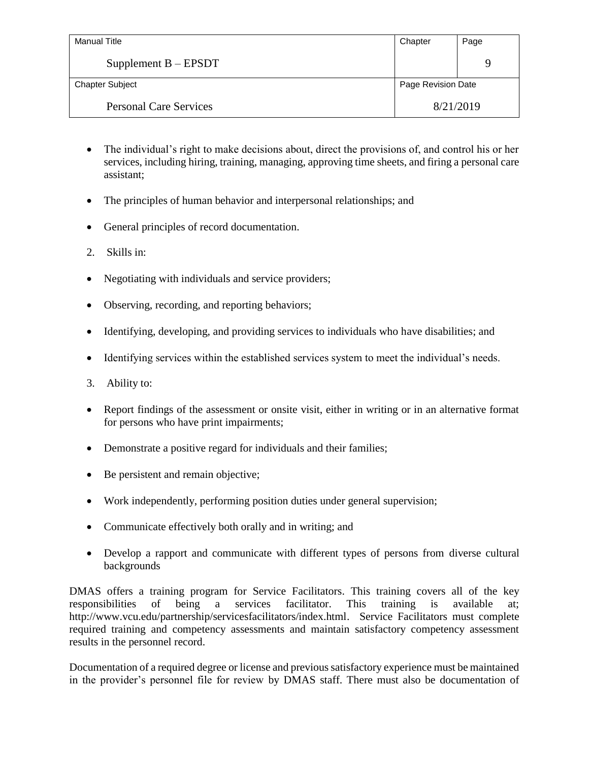| <b>Manual Title</b>           | Chapter            | Page |
|-------------------------------|--------------------|------|
| Supplement $B - EPSDT$        |                    | 9    |
| <b>Chapter Subject</b>        | Page Revision Date |      |
| <b>Personal Care Services</b> | 8/21/2019          |      |

- The individual's right to make decisions about, direct the provisions of, and control his or her services, including hiring, training, managing, approving time sheets, and firing a personal care assistant;
- The principles of human behavior and interpersonal relationships; and
- General principles of record documentation.
- 2. Skills in:
- Negotiating with individuals and service providers;
- Observing, recording, and reporting behaviors;
- Identifying, developing, and providing services to individuals who have disabilities; and
- Identifying services within the established services system to meet the individual's needs.
- 3. Ability to:
- Report findings of the assessment or onsite visit, either in writing or in an alternative format for persons who have print impairments;
- Demonstrate a positive regard for individuals and their families;
- Be persistent and remain objective;
- Work independently, performing position duties under general supervision;
- Communicate effectively both orally and in writing; and
- Develop a rapport and communicate with different types of persons from diverse cultural backgrounds

DMAS offers a training program for Service Facilitators. This training covers all of the key responsibilities of being a services facilitator. This training is available at; http://www.vcu.edu/partnership/servicesfacilitators/index.html. Service Facilitators must complete required training and competency assessments and maintain satisfactory competency assessment results in the personnel record.

Documentation of a required degree or license and previous satisfactory experience must be maintained in the provider's personnel file for review by DMAS staff. There must also be documentation of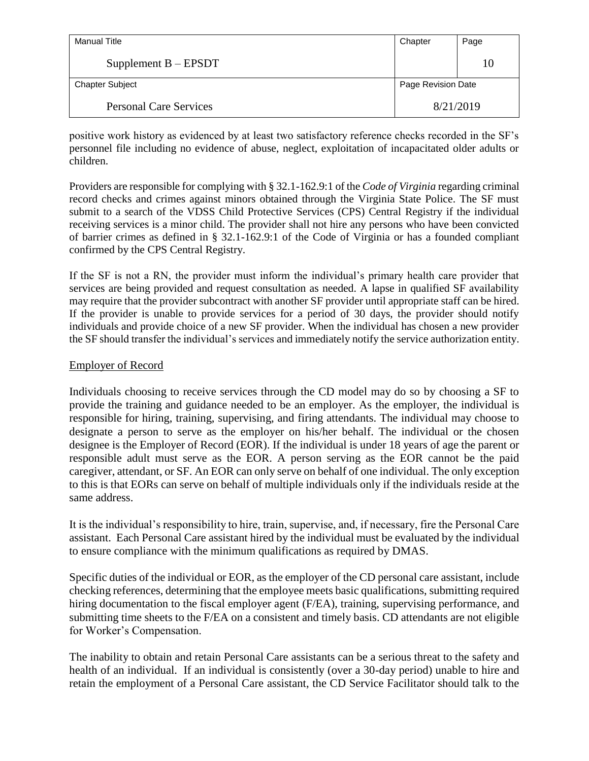| Manual Title                  | Chapter            | Page |
|-------------------------------|--------------------|------|
| Supplement $B - EPSDT$        |                    | 10   |
| <b>Chapter Subject</b>        | Page Revision Date |      |
| <b>Personal Care Services</b> | 8/21/2019          |      |

positive work history as evidenced by at least two satisfactory reference checks recorded in the SF's personnel file including no evidence of abuse, neglect, exploitation of incapacitated older adults or children.

Providers are responsible for complying with § 32.1-162.9:1 of the *Code of Virginia* regarding criminal record checks and crimes against minors obtained through the Virginia State Police. The SF must submit to a search of the VDSS Child Protective Services (CPS) Central Registry if the individual receiving services is a minor child. The provider shall not hire any persons who have been convicted of barrier crimes as defined in § 32.1-162.9:1 of the Code of Virginia or has a founded compliant confirmed by the CPS Central Registry.

If the SF is not a RN, the provider must inform the individual's primary health care provider that services are being provided and request consultation as needed. A lapse in qualified SF availability may require that the provider subcontract with another SF provider until appropriate staff can be hired. If the provider is unable to provide services for a period of 30 days, the provider should notify individuals and provide choice of a new SF provider. When the individual has chosen a new provider the SF should transfer the individual's services and immediately notify the service authorization entity.

# Employer of Record

Individuals choosing to receive services through the CD model may do so by choosing a SF to provide the training and guidance needed to be an employer. As the employer, the individual is responsible for hiring, training, supervising, and firing attendants. The individual may choose to designate a person to serve as the employer on his/her behalf. The individual or the chosen designee is the Employer of Record (EOR). If the individual is under 18 years of age the parent or responsible adult must serve as the EOR. A person serving as the EOR cannot be the paid caregiver, attendant, or SF. An EOR can only serve on behalf of one individual. The only exception to this is that EORs can serve on behalf of multiple individuals only if the individuals reside at the same address.

It is the individual's responsibility to hire, train, supervise, and, if necessary, fire the Personal Care assistant. Each Personal Care assistant hired by the individual must be evaluated by the individual to ensure compliance with the minimum qualifications as required by DMAS.

Specific duties of the individual or EOR, as the employer of the CD personal care assistant, include checking references, determining that the employee meets basic qualifications, submitting required hiring documentation to the fiscal employer agent (F/EA), training, supervising performance, and submitting time sheets to the F/EA on a consistent and timely basis. CD attendants are not eligible for Worker's Compensation.

The inability to obtain and retain Personal Care assistants can be a serious threat to the safety and health of an individual. If an individual is consistently (over a 30-day period) unable to hire and retain the employment of a Personal Care assistant, the CD Service Facilitator should talk to the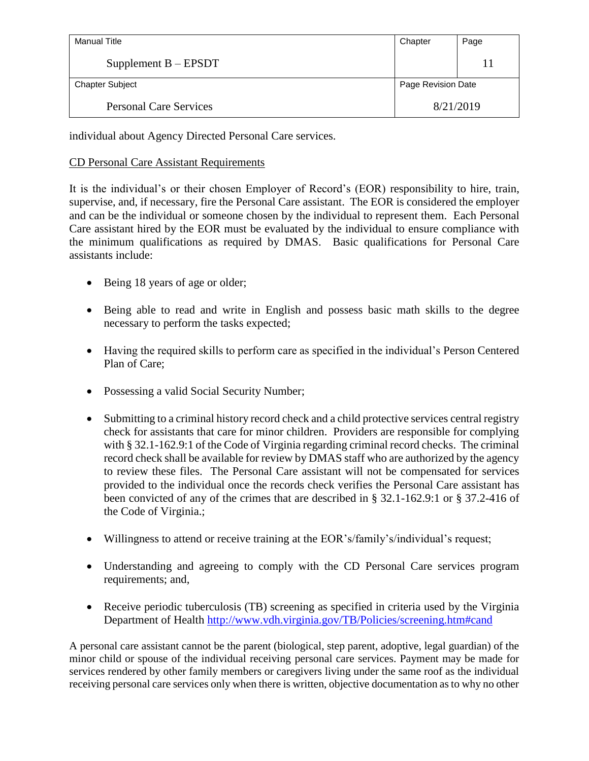| Manual Title                  | Chapter            | Page |
|-------------------------------|--------------------|------|
| Supplement $B - EPSDT$        |                    | 11   |
| <b>Chapter Subject</b>        | Page Revision Date |      |
| <b>Personal Care Services</b> | 8/21/2019          |      |

individual about Agency Directed Personal Care services.

# CD Personal Care Assistant Requirements

It is the individual's or their chosen Employer of Record's (EOR) responsibility to hire, train, supervise, and, if necessary, fire the Personal Care assistant. The EOR is considered the employer and can be the individual or someone chosen by the individual to represent them. Each Personal Care assistant hired by the EOR must be evaluated by the individual to ensure compliance with the minimum qualifications as required by DMAS. Basic qualifications for Personal Care assistants include:

- Being 18 years of age or older;
- Being able to read and write in English and possess basic math skills to the degree necessary to perform the tasks expected;
- Having the required skills to perform care as specified in the individual's Person Centered Plan of Care;
- Possessing a valid Social Security Number;
- Submitting to a criminal history record check and a child protective services central registry check for assistants that care for minor children. Providers are responsible for complying with § 32.1-162.9:1 of the Code of Virginia regarding criminal record checks. The criminal record check shall be available for review by DMAS staff who are authorized by the agency to review these files. The Personal Care assistant will not be compensated for services provided to the individual once the records check verifies the Personal Care assistant has been convicted of any of the crimes that are described in § 32.1-162.9:1 or § 37.2-416 of the Code of Virginia.;
- Willingness to attend or receive training at the EOR's/family's/individual's request;
- Understanding and agreeing to comply with the CD Personal Care services program requirements; and,
- Receive periodic tuberculosis (TB) screening as specified in criteria used by the Virginia Department of Health <http://www.vdh.virginia.gov/TB/Policies/screening.htm#cand>

A personal care assistant cannot be the parent (biological, step parent, adoptive, legal guardian) of the minor child or spouse of the individual receiving personal care services. Payment may be made for services rendered by other family members or caregivers living under the same roof as the individual receiving personal care services only when there is written, objective documentation as to why no other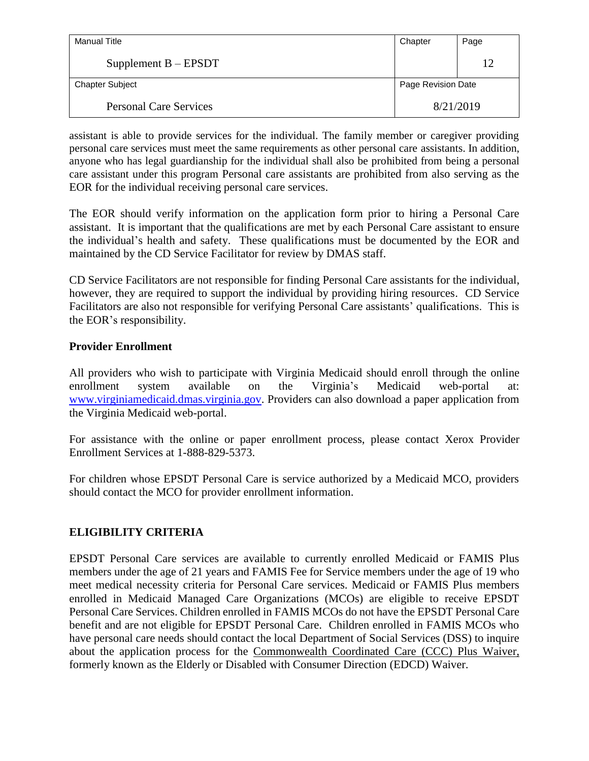| Manual Title                  | Chapter            | Page |
|-------------------------------|--------------------|------|
| Supplement $B - EPSDT$        |                    | 12   |
| <b>Chapter Subject</b>        | Page Revision Date |      |
| <b>Personal Care Services</b> | 8/21/2019          |      |

assistant is able to provide services for the individual. The family member or caregiver providing personal care services must meet the same requirements as other personal care assistants. In addition, anyone who has legal guardianship for the individual shall also be prohibited from being a personal care assistant under this program Personal care assistants are prohibited from also serving as the EOR for the individual receiving personal care services.

The EOR should verify information on the application form prior to hiring a Personal Care assistant. It is important that the qualifications are met by each Personal Care assistant to ensure the individual's health and safety. These qualifications must be documented by the EOR and maintained by the CD Service Facilitator for review by DMAS staff.

CD Service Facilitators are not responsible for finding Personal Care assistants for the individual, however, they are required to support the individual by providing hiring resources. CD Service Facilitators are also not responsible for verifying Personal Care assistants' qualifications. This is the EOR's responsibility.

# **Provider Enrollment**

All providers who wish to participate with Virginia Medicaid should enroll through the online enrollment system available on the Virginia's Medicaid web-portal at: [www.virginiamedicaid.dmas.virginia.gov.](http://www.virginiamedicaid.dmas.virginia.gov/) Providers can also download a paper application from the Virginia Medicaid web-portal.

For assistance with the online or paper enrollment process, please contact Xerox Provider Enrollment Services at 1-888-829-5373.

For children whose EPSDT Personal Care is service authorized by a Medicaid MCO, providers should contact the MCO for provider enrollment information.

# **ELIGIBILITY CRITERIA**

EPSDT Personal Care services are available to currently enrolled Medicaid or FAMIS Plus members under the age of 21 years and FAMIS Fee for Service members under the age of 19 who meet medical necessity criteria for Personal Care services. Medicaid or FAMIS Plus members enrolled in Medicaid Managed Care Organizations (MCOs) are eligible to receive EPSDT Personal Care Services. Children enrolled in FAMIS MCOs do not have the EPSDT Personal Care benefit and are not eligible for EPSDT Personal Care. Children enrolled in FAMIS MCOs who have personal care needs should contact the local Department of Social Services (DSS) to inquire about the application process for the Commonwealth Coordinated Care (CCC) Plus Waiver, formerly known as the Elderly or Disabled with Consumer Direction (EDCD) Waiver.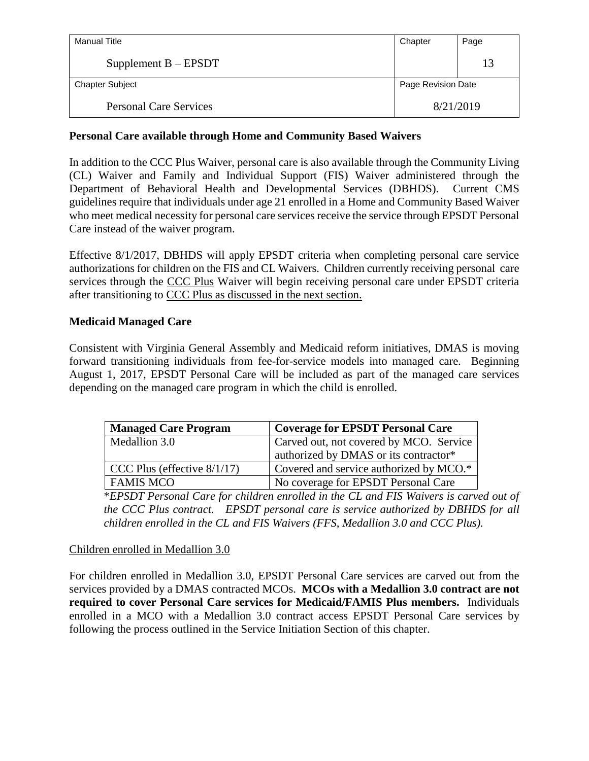| Manual Title                  | Chapter            | Page |
|-------------------------------|--------------------|------|
| Supplement $B - EPSDT$        |                    | 13   |
| <b>Chapter Subject</b>        | Page Revision Date |      |
| <b>Personal Care Services</b> | 8/21/2019          |      |

#### **Personal Care available through Home and Community Based Waivers**

In addition to the CCC Plus Waiver, personal care is also available through the Community Living (CL) Waiver and Family and Individual Support (FIS) Waiver administered through the Department of Behavioral Health and Developmental Services (DBHDS). Current CMS guidelines require that individuals under age 21 enrolled in a Home and Community Based Waiver who meet medical necessity for personal care services receive the service through EPSDT Personal Care instead of the waiver program.

Effective 8/1/2017, DBHDS will apply EPSDT criteria when completing personal care service authorizations for children on the FIS and CL Waivers. Children currently receiving personal care services through the CCC Plus Waiver will begin receiving personal care under EPSDT criteria after transitioning to CCC Plus as discussed in the next section.

#### **Medicaid Managed Care**

Consistent with Virginia General Assembly and Medicaid reform initiatives, DMAS is moving forward transitioning individuals from fee-for-service models into managed care. Beginning August 1, 2017, EPSDT Personal Care will be included as part of the managed care services depending on the managed care program in which the child is enrolled.

| <b>Managed Care Program</b>    | <b>Coverage for EPSDT Personal Care</b> |
|--------------------------------|-----------------------------------------|
| Medallion 3.0                  | Carved out, not covered by MCO. Service |
|                                | authorized by DMAS or its contractor*   |
| CCC Plus (effective $8/1/17$ ) | Covered and service authorized by MCO.* |
| <b>FAMIS MCO</b>               | No coverage for EPSDT Personal Care     |

\**EPSDT Personal Care for children enrolled in the CL and FIS Waivers is carved out of the CCC Plus contract. EPSDT personal care is service authorized by DBHDS for all children enrolled in the CL and FIS Waivers (FFS, Medallion 3.0 and CCC Plus).* 

#### Children enrolled in Medallion 3.0

For children enrolled in Medallion 3.0, EPSDT Personal Care services are carved out from the services provided by a DMAS contracted MCOs. **MCOs with a Medallion 3.0 contract are not required to cover Personal Care services for Medicaid/FAMIS Plus members.** Individuals enrolled in a MCO with a Medallion 3.0 contract access EPSDT Personal Care services by following the process outlined in the Service Initiation Section of this chapter.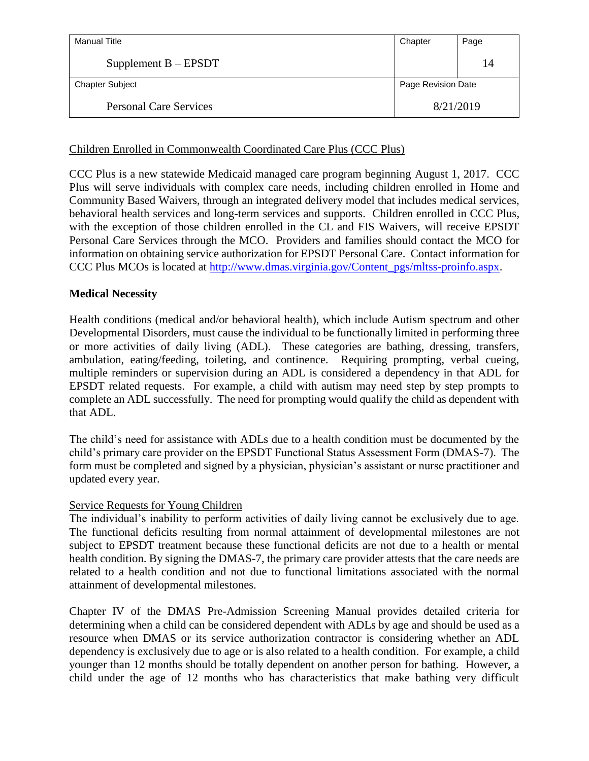| Manual Title                  | Chapter            | Page |
|-------------------------------|--------------------|------|
| Supplement $B - EPSDT$        |                    | 14   |
| <b>Chapter Subject</b>        | Page Revision Date |      |
| <b>Personal Care Services</b> | 8/21/2019          |      |

#### Children Enrolled in Commonwealth Coordinated Care Plus (CCC Plus)

CCC Plus is a new statewide Medicaid managed care program beginning August 1, 2017. CCC Plus will serve individuals with complex care needs, including children enrolled in Home and Community Based Waivers, through an integrated delivery model that includes medical services, behavioral health services and long-term services and supports. Children enrolled in CCC Plus, with the exception of those children enrolled in the CL and FIS Waivers, will receive EPSDT Personal Care Services through the MCO. Providers and families should contact the MCO for information on obtaining service authorization for EPSDT Personal Care. Contact information for CCC Plus MCOs is located at [http://www.dmas.virginia.gov/Content\\_pgs/mltss-proinfo.aspx.](http://www.dmas.virginia.gov/Content_pgs/mltss-proinfo.aspx)

#### **Medical Necessity**

Health conditions (medical and/or behavioral health), which include Autism spectrum and other Developmental Disorders, must cause the individual to be functionally limited in performing three or more activities of daily living (ADL). These categories are bathing, dressing, transfers, ambulation, eating/feeding, toileting, and continence. Requiring prompting, verbal cueing, multiple reminders or supervision during an ADL is considered a dependency in that ADL for EPSDT related requests. For example, a child with autism may need step by step prompts to complete an ADL successfully. The need for prompting would qualify the child as dependent with that ADL.

The child's need for assistance with ADLs due to a health condition must be documented by the child's primary care provider on the EPSDT Functional Status Assessment Form (DMAS-7). The form must be completed and signed by a physician, physician's assistant or nurse practitioner and updated every year.

#### Service Requests for Young Children

The individual's inability to perform activities of daily living cannot be exclusively due to age. The functional deficits resulting from normal attainment of developmental milestones are not subject to EPSDT treatment because these functional deficits are not due to a health or mental health condition. By signing the DMAS-7, the primary care provider attests that the care needs are related to a health condition and not due to functional limitations associated with the normal attainment of developmental milestones.

Chapter IV of the DMAS Pre-Admission Screening Manual provides detailed criteria for determining when a child can be considered dependent with ADLs by age and should be used as a resource when DMAS or its service authorization contractor is considering whether an ADL dependency is exclusively due to age or is also related to a health condition. For example, a child younger than 12 months should be totally dependent on another person for bathing. However, a child under the age of 12 months who has characteristics that make bathing very difficult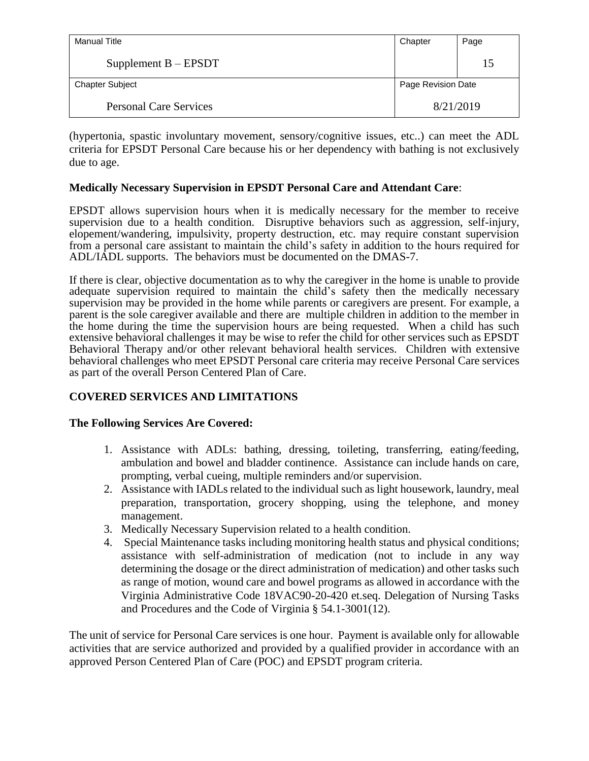| Manual Title                  | Chapter            | Page |
|-------------------------------|--------------------|------|
| Supplement $B - EPSDT$        |                    | 15   |
| <b>Chapter Subject</b>        | Page Revision Date |      |
| <b>Personal Care Services</b> | 8/21/2019          |      |

(hypertonia, spastic involuntary movement, sensory/cognitive issues, etc..) can meet the ADL criteria for EPSDT Personal Care because his or her dependency with bathing is not exclusively due to age.

#### **Medically Necessary Supervision in EPSDT Personal Care and Attendant Care**:

EPSDT allows supervision hours when it is medically necessary for the member to receive supervision due to a health condition. Disruptive behaviors such as aggression, self-injury, elopement/wandering, impulsivity, property destruction, etc. may require constant supervision from a personal care assistant to maintain the child's safety in addition to the hours required for ADL/IADL supports. The behaviors must be documented on the DMAS-7.

If there is clear, objective documentation as to why the caregiver in the home is unable to provide adequate supervision required to maintain the child's safety then the medically necessary supervision may be provided in the home while parents or caregivers are present. For example, a parent is the sole caregiver available and there are multiple children in addition to the member in the home during the time the supervision hours are being requested. When a child has such extensive behavioral challenges it may be wise to refer the child for other services such as EPSDT Behavioral Therapy and/or other relevant behavioral health services. Children with extensive behavioral challenges who meet EPSDT Personal care criteria may receive Personal Care services as part of the overall Person Centered Plan of Care.

# **COVERED SERVICES AND LIMITATIONS**

#### **The Following Services Are Covered:**

- 1. Assistance with ADLs: bathing, dressing, toileting, transferring, eating/feeding, ambulation and bowel and bladder continence. Assistance can include hands on care, prompting, verbal cueing, multiple reminders and/or supervision.
- 2. Assistance with IADLs related to the individual such as light housework, laundry, meal preparation, transportation, grocery shopping, using the telephone, and money management.
- 3. Medically Necessary Supervision related to a health condition.
- 4. Special Maintenance tasks including monitoring health status and physical conditions; assistance with self-administration of medication (not to include in any way determining the dosage or the direct administration of medication) and other tasks such as range of motion, wound care and bowel programs as allowed in accordance with the Virginia Administrative Code 18VAC90-20-420 et.seq. Delegation of Nursing Tasks and Procedures and the Code of Virginia § 54.1-3001(12).

The unit of service for Personal Care services is one hour. Payment is available only for allowable activities that are service authorized and provided by a qualified provider in accordance with an approved Person Centered Plan of Care (POC) and EPSDT program criteria.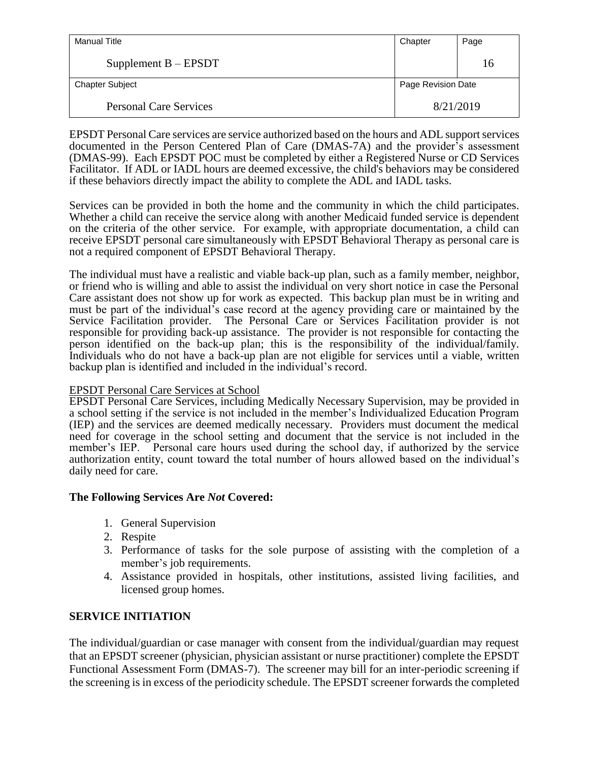| <b>Manual Title</b>           | Chapter            | Page |
|-------------------------------|--------------------|------|
| Supplement $B - EPSDT$        |                    | 16   |
| <b>Chapter Subject</b>        | Page Revision Date |      |
| <b>Personal Care Services</b> | 8/21/2019          |      |

EPSDT Personal Care services are service authorized based on the hours and ADL support services documented in the Person Centered Plan of Care (DMAS-7A) and the provider's assessment (DMAS-99). Each EPSDT POC must be completed by either a Registered Nurse or CD Services Facilitator. If ADL or IADL hours are deemed excessive, the child's behaviors may be considered if these behaviors directly impact the ability to complete the ADL and IADL tasks.

Services can be provided in both the home and the community in which the child participates. Whether a child can receive the service along with another Medicaid funded service is dependent on the criteria of the other service. For example, with appropriate documentation, a child can receive EPSDT personal care simultaneously with EPSDT Behavioral Therapy as personal care is not a required component of EPSDT Behavioral Therapy.

The individual must have a realistic and viable back-up plan, such as a family member, neighbor, or friend who is willing and able to assist the individual on very short notice in case the Personal Care assistant does not show up for work as expected. This backup plan must be in writing and must be part of the individual's case record at the agency providing care or maintained by the Service Facilitation provider. The Personal Care or Services Facilitation provider is not responsible for providing back-up assistance. The provider is not responsible for contacting the person identified on the back-up plan; this is the responsibility of the individual/family. Individuals who do not have a back-up plan are not eligible for services until a viable, written backup plan is identified and included in the individual's record.

#### EPSDT Personal Care Services at School

EPSDT Personal Care Services, including Medically Necessary Supervision, may be provided in a school setting if the service is not included in the member's Individualized Education Program (IEP) and the services are deemed medically necessary. Providers must document the medical need for coverage in the school setting and document that the service is not included in the member's IEP. Personal care hours used during the school day, if authorized by the service authorization entity, count toward the total number of hours allowed based on the individual's daily need for care.

# **The Following Services Are** *Not* **Covered:**

- 1. General Supervision
- 2. Respite
- 3. Performance of tasks for the sole purpose of assisting with the completion of a member's job requirements.
- 4. Assistance provided in hospitals, other institutions, assisted living facilities, and licensed group homes.

# **SERVICE INITIATION**

The individual/guardian or case manager with consent from the individual/guardian may request that an EPSDT screener (physician, physician assistant or nurse practitioner) complete the EPSDT Functional Assessment Form (DMAS-7). The screener may bill for an inter-periodic screening if the screening is in excess of the periodicity schedule. The EPSDT screener forwards the completed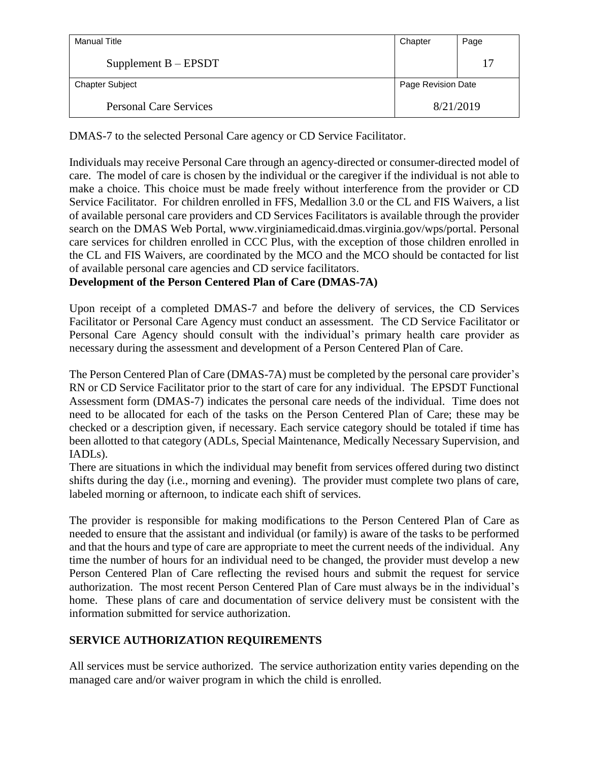| Manual Title                  | Chapter            | Page |
|-------------------------------|--------------------|------|
| Supplement $B - EPSDT$        |                    | 17   |
| <b>Chapter Subject</b>        | Page Revision Date |      |
| <b>Personal Care Services</b> | 8/21/2019          |      |

DMAS-7 to the selected Personal Care agency or CD Service Facilitator.

Individuals may receive Personal Care through an agency-directed or consumer-directed model of care. The model of care is chosen by the individual or the caregiver if the individual is not able to make a choice. This choice must be made freely without interference from the provider or CD Service Facilitator. For children enrolled in FFS, Medallion 3.0 or the CL and FIS Waivers, a list of available personal care providers and CD Services Facilitators is available through the provider search on the DMAS Web Portal, www.virginiamedicaid.dmas.virginia.gov/wps/portal. Personal care services for children enrolled in CCC Plus, with the exception of those children enrolled in the CL and FIS Waivers, are coordinated by the MCO and the MCO should be contacted for list of available personal care agencies and CD service facilitators.

**Development of the Person Centered Plan of Care (DMAS-7A)**

Upon receipt of a completed DMAS-7 and before the delivery of services, the CD Services Facilitator or Personal Care Agency must conduct an assessment. The CD Service Facilitator or Personal Care Agency should consult with the individual's primary health care provider as necessary during the assessment and development of a Person Centered Plan of Care.

The Person Centered Plan of Care (DMAS-7A) must be completed by the personal care provider's RN or CD Service Facilitator prior to the start of care for any individual. The EPSDT Functional Assessment form (DMAS-7) indicates the personal care needs of the individual. Time does not need to be allocated for each of the tasks on the Person Centered Plan of Care; these may be checked or a description given, if necessary. Each service category should be totaled if time has been allotted to that category (ADLs, Special Maintenance, Medically Necessary Supervision, and IADLs).

There are situations in which the individual may benefit from services offered during two distinct shifts during the day (i.e., morning and evening). The provider must complete two plans of care, labeled morning or afternoon, to indicate each shift of services.

The provider is responsible for making modifications to the Person Centered Plan of Care as needed to ensure that the assistant and individual (or family) is aware of the tasks to be performed and that the hours and type of care are appropriate to meet the current needs of the individual. Any time the number of hours for an individual need to be changed, the provider must develop a new Person Centered Plan of Care reflecting the revised hours and submit the request for service authorization. The most recent Person Centered Plan of Care must always be in the individual's home. These plans of care and documentation of service delivery must be consistent with the information submitted for service authorization.

# **SERVICE AUTHORIZATION REQUIREMENTS**

All services must be service authorized. The service authorization entity varies depending on the managed care and/or waiver program in which the child is enrolled.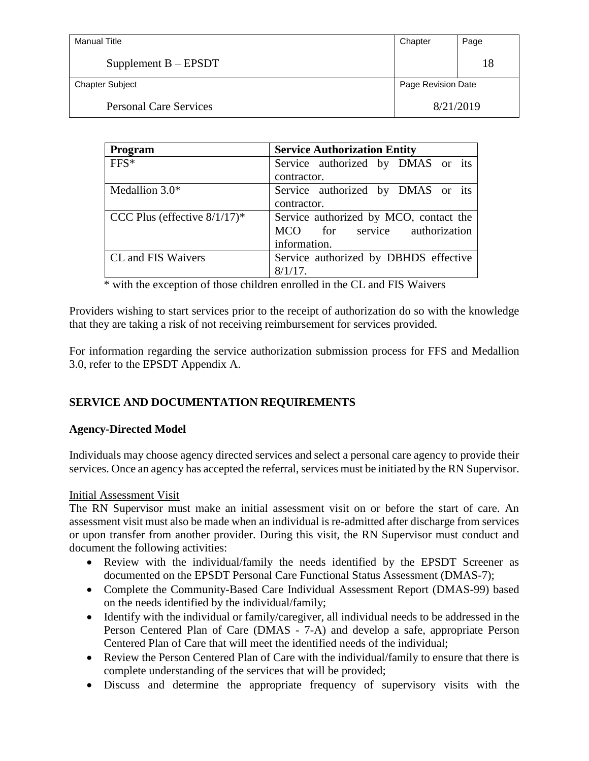| <b>Manual Title</b>           | Chapter            | Page |
|-------------------------------|--------------------|------|
| Supplement $B - EPSDT$        |                    | 18   |
| <b>Chapter Subject</b>        | Page Revision Date |      |
| <b>Personal Care Services</b> | 8/21/2019          |      |

| Program                         | <b>Service Authorization Entity</b>    |
|---------------------------------|----------------------------------------|
| $FFS*$                          | Service authorized by DMAS or its      |
|                                 | contractor.                            |
| Medallion $3.0*$                | Service authorized by DMAS or its      |
|                                 | contractor.                            |
| CCC Plus (effective $8/1/17$ )* | Service authorized by MCO, contact the |
|                                 | MCO for service authorization          |
|                                 | information.                           |
| CL and FIS Waivers              | Service authorized by DBHDS effective  |
|                                 | $8/1/17$ .                             |

\* with the exception of those children enrolled in the CL and FIS Waivers

Providers wishing to start services prior to the receipt of authorization do so with the knowledge that they are taking a risk of not receiving reimbursement for services provided.

For information regarding the service authorization submission process for FFS and Medallion 3.0, refer to the EPSDT Appendix A.

# **SERVICE AND DOCUMENTATION REQUIREMENTS**

# **Agency-Directed Model**

Individuals may choose agency directed services and select a personal care agency to provide their services. Once an agency has accepted the referral, services must be initiated by the RN Supervisor.

#### Initial Assessment Visit

The RN Supervisor must make an initial assessment visit on or before the start of care. An assessment visit must also be made when an individual is re-admitted after discharge from services or upon transfer from another provider. During this visit, the RN Supervisor must conduct and document the following activities:

- Review with the individual/family the needs identified by the EPSDT Screener as documented on the EPSDT Personal Care Functional Status Assessment (DMAS-7);
- Complete the Community-Based Care Individual Assessment Report (DMAS-99) based on the needs identified by the individual/family;
- Identify with the individual or family/caregiver, all individual needs to be addressed in the Person Centered Plan of Care (DMAS - 7-A) and develop a safe, appropriate Person Centered Plan of Care that will meet the identified needs of the individual;
- Review the Person Centered Plan of Care with the individual/family to ensure that there is complete understanding of the services that will be provided;
- Discuss and determine the appropriate frequency of supervisory visits with the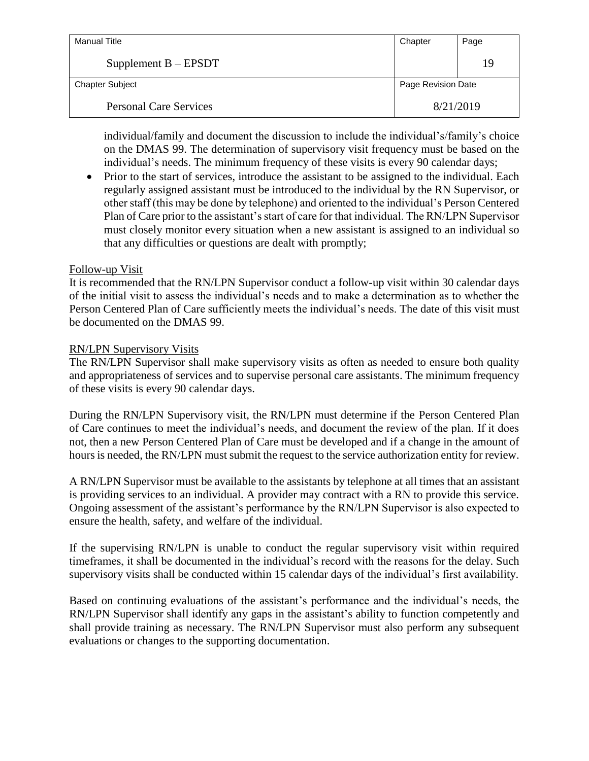| Manual Title                  | Chapter            | Page |
|-------------------------------|--------------------|------|
| Supplement $B - EPSDT$        |                    | 19   |
| <b>Chapter Subject</b>        | Page Revision Date |      |
| <b>Personal Care Services</b> | 8/21/2019          |      |

individual/family and document the discussion to include the individual's/family's choice on the DMAS 99. The determination of supervisory visit frequency must be based on the individual's needs. The minimum frequency of these visits is every 90 calendar days;

• Prior to the start of services, introduce the assistant to be assigned to the individual. Each regularly assigned assistant must be introduced to the individual by the RN Supervisor, or other staff (this may be done by telephone) and oriented to the individual's Person Centered Plan of Care prior to the assistant's start of care for that individual. The RN/LPN Supervisor must closely monitor every situation when a new assistant is assigned to an individual so that any difficulties or questions are dealt with promptly;

#### Follow-up Visit

It is recommended that the RN/LPN Supervisor conduct a follow-up visit within 30 calendar days of the initial visit to assess the individual's needs and to make a determination as to whether the Person Centered Plan of Care sufficiently meets the individual's needs. The date of this visit must be documented on the DMAS 99.

#### RN/LPN Supervisory Visits

The RN/LPN Supervisor shall make supervisory visits as often as needed to ensure both quality and appropriateness of services and to supervise personal care assistants. The minimum frequency of these visits is every 90 calendar days.

During the RN/LPN Supervisory visit, the RN/LPN must determine if the Person Centered Plan of Care continues to meet the individual's needs, and document the review of the plan. If it does not, then a new Person Centered Plan of Care must be developed and if a change in the amount of hours is needed, the RN/LPN must submit the request to the service authorization entity for review.

A RN/LPN Supervisor must be available to the assistants by telephone at all times that an assistant is providing services to an individual. A provider may contract with a RN to provide this service. Ongoing assessment of the assistant's performance by the RN/LPN Supervisor is also expected to ensure the health, safety, and welfare of the individual.

If the supervising RN/LPN is unable to conduct the regular supervisory visit within required timeframes, it shall be documented in the individual's record with the reasons for the delay. Such supervisory visits shall be conducted within 15 calendar days of the individual's first availability.

Based on continuing evaluations of the assistant's performance and the individual's needs, the RN/LPN Supervisor shall identify any gaps in the assistant's ability to function competently and shall provide training as necessary. The RN/LPN Supervisor must also perform any subsequent evaluations or changes to the supporting documentation.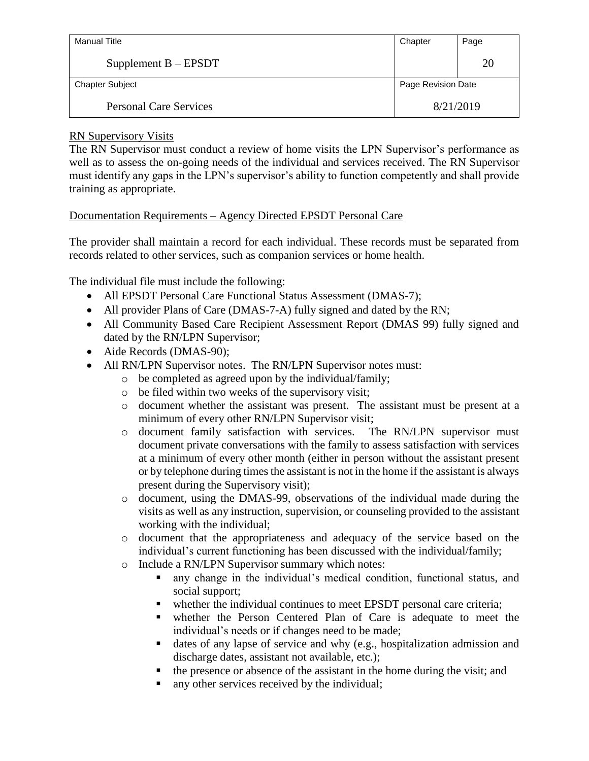| Manual Title                  | Chapter            | Page |
|-------------------------------|--------------------|------|
| Supplement $B - EPSDT$        |                    | 20   |
| <b>Chapter Subject</b>        | Page Revision Date |      |
| <b>Personal Care Services</b> | 8/21/2019          |      |

# RN Supervisory Visits

The RN Supervisor must conduct a review of home visits the LPN Supervisor's performance as well as to assess the on-going needs of the individual and services received. The RN Supervisor must identify any gaps in the LPN's supervisor's ability to function competently and shall provide training as appropriate.

# Documentation Requirements – Agency Directed EPSDT Personal Care

The provider shall maintain a record for each individual. These records must be separated from records related to other services, such as companion services or home health.

The individual file must include the following:

- All EPSDT Personal Care Functional Status Assessment (DMAS-7);
- All provider Plans of Care (DMAS-7-A) fully signed and dated by the RN;
- All Community Based Care Recipient Assessment Report (DMAS 99) fully signed and dated by the RN/LPN Supervisor;
- Aide Records (DMAS-90);
- All RN/LPN Supervisor notes. The RN/LPN Supervisor notes must:
	- o be completed as agreed upon by the individual/family;
	- o be filed within two weeks of the supervisory visit;
	- o document whether the assistant was present. The assistant must be present at a minimum of every other RN/LPN Supervisor visit;
	- o document family satisfaction with services. The RN/LPN supervisor must document private conversations with the family to assess satisfaction with services at a minimum of every other month (either in person without the assistant present or by telephone during times the assistant is not in the home if the assistant is always present during the Supervisory visit);
	- o document, using the DMAS-99, observations of the individual made during the visits as well as any instruction, supervision, or counseling provided to the assistant working with the individual;
	- o document that the appropriateness and adequacy of the service based on the individual's current functioning has been discussed with the individual/family;
	- o Include a RN/LPN Supervisor summary which notes:
		- any change in the individual's medical condition, functional status, and social support;
		- whether the individual continues to meet EPSDT personal care criteria;
		- whether the Person Centered Plan of Care is adequate to meet the individual's needs or if changes need to be made;
		- dates of any lapse of service and why (e.g., hospitalization admission and discharge dates, assistant not available, etc.);
		- $\blacksquare$  the presence or absence of the assistant in the home during the visit; and
		- any other services received by the individual;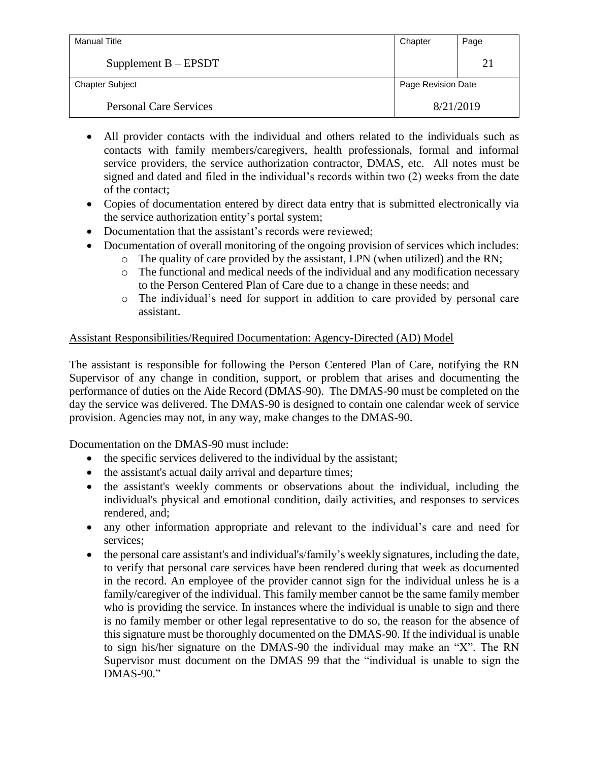| Manual Title                  | Chapter            | Page |
|-------------------------------|--------------------|------|
| Supplement $B - EPSDT$        |                    | 21   |
| <b>Chapter Subject</b>        | Page Revision Date |      |
| <b>Personal Care Services</b> | 8/21/2019          |      |

- All provider contacts with the individual and others related to the individuals such as contacts with family members/caregivers, health professionals, formal and informal service providers, the service authorization contractor, DMAS, etc. All notes must be signed and dated and filed in the individual's records within two (2) weeks from the date of the contact;
- Copies of documentation entered by direct data entry that is submitted electronically via the service authorization entity's portal system;
- Documentation that the assistant's records were reviewed;
- Documentation of overall monitoring of the ongoing provision of services which includes:
	- o The quality of care provided by the assistant, LPN (when utilized) and the RN;
	- o The functional and medical needs of the individual and any modification necessary to the Person Centered Plan of Care due to a change in these needs; and
	- o The individual's need for support in addition to care provided by personal care assistant.

# Assistant Responsibilities/Required Documentation: Agency-Directed (AD) Model

The assistant is responsible for following the Person Centered Plan of Care, notifying the RN Supervisor of any change in condition, support, or problem that arises and documenting the performance of duties on the Aide Record (DMAS-90). The DMAS-90 must be completed on the day the service was delivered. The DMAS-90 is designed to contain one calendar week of service provision. Agencies may not, in any way, make changes to the DMAS-90.

Documentation on the DMAS-90 must include:

- the specific services delivered to the individual by the assistant;
- the assistant's actual daily arrival and departure times;
- the assistant's weekly comments or observations about the individual, including the individual's physical and emotional condition, daily activities, and responses to services rendered, and;
- any other information appropriate and relevant to the individual's care and need for services;
- the personal care assistant's and individual's/family's weekly signatures, including the date, to verify that personal care services have been rendered during that week as documented in the record. An employee of the provider cannot sign for the individual unless he is a family/caregiver of the individual. This family member cannot be the same family member who is providing the service. In instances where the individual is unable to sign and there is no family member or other legal representative to do so, the reason for the absence of this signature must be thoroughly documented on the DMAS-90. If the individual is unable to sign his/her signature on the DMAS-90 the individual may make an "X". The RN Supervisor must document on the DMAS 99 that the "individual is unable to sign the DMAS-90."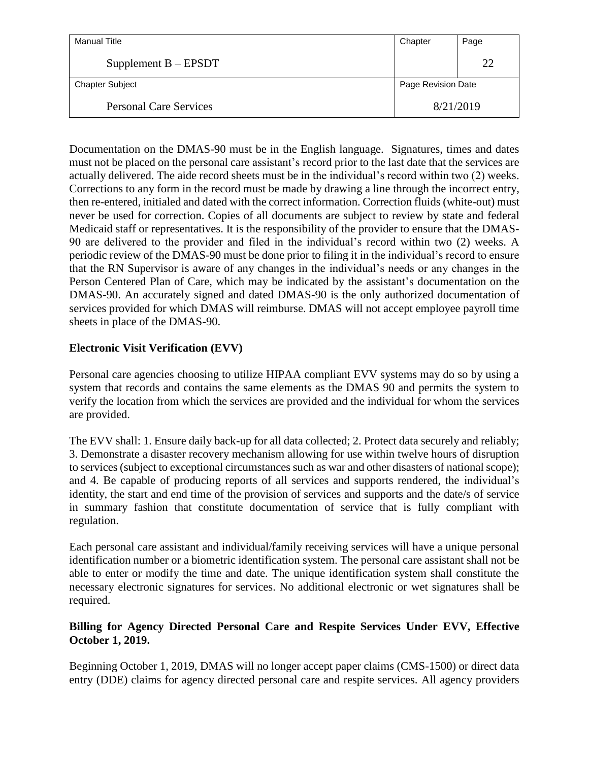| Manual Title                  | Chapter            | Page |
|-------------------------------|--------------------|------|
| Supplement $B - EPSDT$        |                    | 22   |
| <b>Chapter Subject</b>        | Page Revision Date |      |
| <b>Personal Care Services</b> | 8/21/2019          |      |

Documentation on the DMAS-90 must be in the English language. Signatures, times and dates must not be placed on the personal care assistant's record prior to the last date that the services are actually delivered. The aide record sheets must be in the individual's record within two (2) weeks. Corrections to any form in the record must be made by drawing a line through the incorrect entry, then re-entered, initialed and dated with the correct information. Correction fluids (white-out) must never be used for correction. Copies of all documents are subject to review by state and federal Medicaid staff or representatives. It is the responsibility of the provider to ensure that the DMAS-90 are delivered to the provider and filed in the individual's record within two (2) weeks. A periodic review of the DMAS-90 must be done prior to filing it in the individual's record to ensure that the RN Supervisor is aware of any changes in the individual's needs or any changes in the Person Centered Plan of Care, which may be indicated by the assistant's documentation on the DMAS-90. An accurately signed and dated DMAS-90 is the only authorized documentation of services provided for which DMAS will reimburse. DMAS will not accept employee payroll time sheets in place of the DMAS-90.

# **Electronic Visit Verification (EVV)**

Personal care agencies choosing to utilize HIPAA compliant EVV systems may do so by using a system that records and contains the same elements as the DMAS 90 and permits the system to verify the location from which the services are provided and the individual for whom the services are provided.

The EVV shall: 1. Ensure daily back-up for all data collected; 2. Protect data securely and reliably; 3. Demonstrate a disaster recovery mechanism allowing for use within twelve hours of disruption to services (subject to exceptional circumstances such as war and other disasters of national scope); and 4. Be capable of producing reports of all services and supports rendered, the individual's identity, the start and end time of the provision of services and supports and the date/s of service in summary fashion that constitute documentation of service that is fully compliant with regulation.

Each personal care assistant and individual/family receiving services will have a unique personal identification number or a biometric identification system. The personal care assistant shall not be able to enter or modify the time and date. The unique identification system shall constitute the necessary electronic signatures for services. No additional electronic or wet signatures shall be required.

# **Billing for Agency Directed Personal Care and Respite Services Under EVV, Effective October 1, 2019.**

Beginning October 1, 2019, DMAS will no longer accept paper claims (CMS-1500) or direct data entry (DDE) claims for agency directed personal care and respite services. All agency providers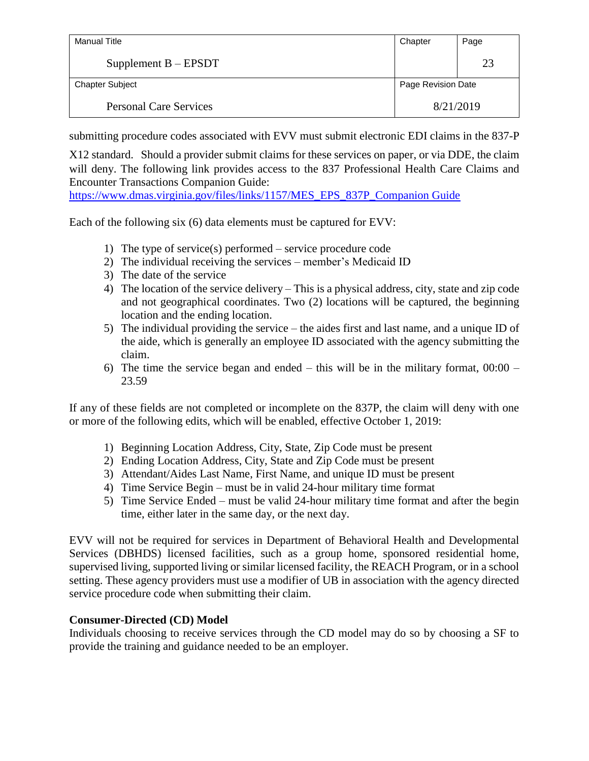| Manual Title                  | Chapter            | Page |
|-------------------------------|--------------------|------|
| Supplement $B - EPSDT$        |                    | 23   |
| <b>Chapter Subject</b>        | Page Revision Date |      |
| <b>Personal Care Services</b> | 8/21/2019          |      |

submitting procedure codes associated with EVV must submit electronic EDI claims in the 837-P

X12 standard. Should a provider submit claims for these services on paper, or via DDE, the claim will deny. The following link provides access to the 837 Professional Health Care Claims and Encounter Transactions Companion Guide:

[https://www.dmas.virginia.gov/files/links/1157/MES\\_EPS\\_837P\\_Companion Guide](https://www.dmas.virginia.gov/files/links/1157/MES_EPS_837P_Companion%20Guide) 

Each of the following six (6) data elements must be captured for EVV:

- 1) The type of service(s) performed service procedure code
- 2) The individual receiving the services member's Medicaid ID
- 3) The date of the service
- 4) The location of the service delivery This is a physical address, city, state and zip code and not geographical coordinates. Two (2) locations will be captured, the beginning location and the ending location.
- 5) The individual providing the service the aides first and last name, and a unique ID of the aide, which is generally an employee ID associated with the agency submitting the claim.
- 6) The time the service began and ended this will be in the military format,  $00:00 -$ 23.59

If any of these fields are not completed or incomplete on the 837P, the claim will deny with one or more of the following edits, which will be enabled, effective October 1, 2019:

- 1) Beginning Location Address, City, State, Zip Code must be present
- 2) Ending Location Address, City, State and Zip Code must be present
- 3) Attendant/Aides Last Name, First Name, and unique ID must be present
- 4) Time Service Begin must be in valid 24-hour military time format
- 5) Time Service Ended must be valid 24-hour military time format and after the begin time, either later in the same day, or the next day.

EVV will not be required for services in Department of Behavioral Health and Developmental Services (DBHDS) licensed facilities, such as a group home, sponsored residential home, supervised living, supported living or similar licensed facility, the REACH Program, or in a school setting. These agency providers must use a modifier of UB in association with the agency directed service procedure code when submitting their claim.

# **Consumer-Directed (CD) Model**

Individuals choosing to receive services through the CD model may do so by choosing a SF to provide the training and guidance needed to be an employer.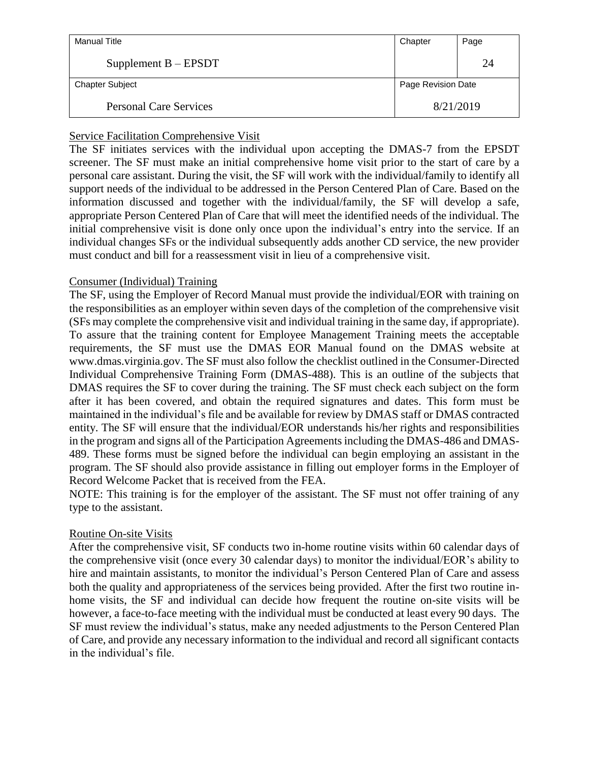| Manual Title                  | Chapter            | Page |
|-------------------------------|--------------------|------|
| Supplement $B - EPSDT$        |                    | 24   |
| <b>Chapter Subject</b>        | Page Revision Date |      |
| <b>Personal Care Services</b> | 8/21/2019          |      |

# Service Facilitation Comprehensive Visit

The SF initiates services with the individual upon accepting the DMAS-7 from the EPSDT screener. The SF must make an initial comprehensive home visit prior to the start of care by a personal care assistant. During the visit, the SF will work with the individual/family to identify all support needs of the individual to be addressed in the Person Centered Plan of Care. Based on the information discussed and together with the individual/family, the SF will develop a safe, appropriate Person Centered Plan of Care that will meet the identified needs of the individual. The initial comprehensive visit is done only once upon the individual's entry into the service. If an individual changes SFs or the individual subsequently adds another CD service, the new provider must conduct and bill for a reassessment visit in lieu of a comprehensive visit.

# Consumer (Individual) Training

The SF, using the Employer of Record Manual must provide the individual/EOR with training on the responsibilities as an employer within seven days of the completion of the comprehensive visit (SFs may complete the comprehensive visit and individual training in the same day, if appropriate). To assure that the training content for Employee Management Training meets the acceptable requirements, the SF must use the DMAS EOR Manual found on the DMAS website at www.dmas.virginia.gov. The SF must also follow the checklist outlined in the Consumer-Directed Individual Comprehensive Training Form (DMAS-488). This is an outline of the subjects that DMAS requires the SF to cover during the training. The SF must check each subject on the form after it has been covered, and obtain the required signatures and dates. This form must be maintained in the individual's file and be available for review by DMAS staff or DMAS contracted entity. The SF will ensure that the individual/EOR understands his/her rights and responsibilities in the program and signs all of the Participation Agreements including the DMAS-486 and DMAS-489. These forms must be signed before the individual can begin employing an assistant in the program. The SF should also provide assistance in filling out employer forms in the Employer of Record Welcome Packet that is received from the FEA.

NOTE: This training is for the employer of the assistant. The SF must not offer training of any type to the assistant.

# Routine On-site Visits

After the comprehensive visit, SF conducts two in-home routine visits within 60 calendar days of the comprehensive visit (once every 30 calendar days) to monitor the individual/EOR's ability to hire and maintain assistants, to monitor the individual's Person Centered Plan of Care and assess both the quality and appropriateness of the services being provided. After the first two routine inhome visits, the SF and individual can decide how frequent the routine on-site visits will be however, a face-to-face meeting with the individual must be conducted at least every 90 days. The SF must review the individual's status, make any needed adjustments to the Person Centered Plan of Care, and provide any necessary information to the individual and record all significant contacts in the individual's file.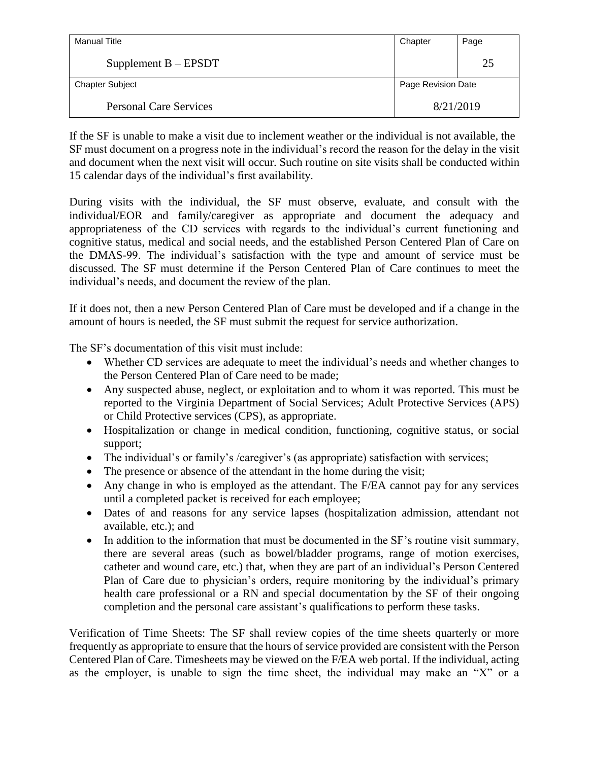| Manual Title                  | Chapter            | Page |
|-------------------------------|--------------------|------|
| Supplement $B - EPSDT$        |                    | 25   |
| <b>Chapter Subject</b>        | Page Revision Date |      |
| <b>Personal Care Services</b> | 8/21/2019          |      |

If the SF is unable to make a visit due to inclement weather or the individual is not available, the SF must document on a progress note in the individual's record the reason for the delay in the visit and document when the next visit will occur. Such routine on site visits shall be conducted within 15 calendar days of the individual's first availability.

During visits with the individual, the SF must observe, evaluate, and consult with the individual/EOR and family/caregiver as appropriate and document the adequacy and appropriateness of the CD services with regards to the individual's current functioning and cognitive status, medical and social needs, and the established Person Centered Plan of Care on the DMAS-99. The individual's satisfaction with the type and amount of service must be discussed. The SF must determine if the Person Centered Plan of Care continues to meet the individual's needs, and document the review of the plan.

If it does not, then a new Person Centered Plan of Care must be developed and if a change in the amount of hours is needed, the SF must submit the request for service authorization.

The SF's documentation of this visit must include:

- Whether CD services are adequate to meet the individual's needs and whether changes to the Person Centered Plan of Care need to be made;
- Any suspected abuse, neglect, or exploitation and to whom it was reported. This must be reported to the Virginia Department of Social Services; Adult Protective Services (APS) or Child Protective services (CPS), as appropriate.
- Hospitalization or change in medical condition, functioning, cognitive status, or social support;
- The individual's or family's /caregiver's (as appropriate) satisfaction with services;
- The presence or absence of the attendant in the home during the visit;
- Any change in who is employed as the attendant. The F/EA cannot pay for any services until a completed packet is received for each employee;
- Dates of and reasons for any service lapses (hospitalization admission, attendant not available, etc.); and
- In addition to the information that must be documented in the SF's routine visit summary, there are several areas (such as bowel/bladder programs, range of motion exercises, catheter and wound care, etc.) that, when they are part of an individual's Person Centered Plan of Care due to physician's orders, require monitoring by the individual's primary health care professional or a RN and special documentation by the SF of their ongoing completion and the personal care assistant's qualifications to perform these tasks.

Verification of Time Sheets: The SF shall review copies of the time sheets quarterly or more frequently as appropriate to ensure that the hours of service provided are consistent with the Person Centered Plan of Care. Timesheets may be viewed on the F/EA web portal. If the individual, acting as the employer, is unable to sign the time sheet, the individual may make an "X" or a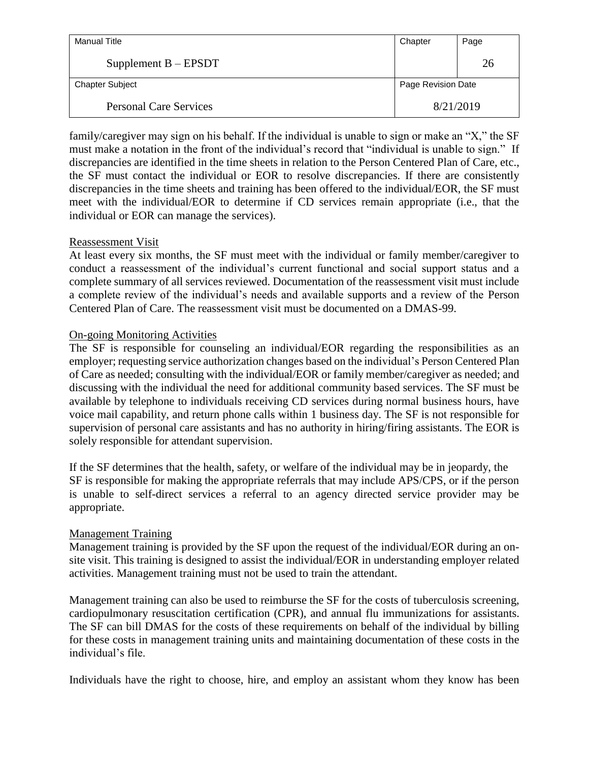| Manual Title                  | Chapter            | Page |
|-------------------------------|--------------------|------|
| Supplement $B - EPSDT$        |                    | 26   |
| <b>Chapter Subject</b>        | Page Revision Date |      |
| <b>Personal Care Services</b> | 8/21/2019          |      |

family/caregiver may sign on his behalf. If the individual is unable to sign or make an "X," the SF must make a notation in the front of the individual's record that "individual is unable to sign." If discrepancies are identified in the time sheets in relation to the Person Centered Plan of Care, etc., the SF must contact the individual or EOR to resolve discrepancies. If there are consistently discrepancies in the time sheets and training has been offered to the individual/EOR, the SF must meet with the individual/EOR to determine if CD services remain appropriate (i.e., that the individual or EOR can manage the services).

#### Reassessment Visit

At least every six months, the SF must meet with the individual or family member/caregiver to conduct a reassessment of the individual's current functional and social support status and a complete summary of all services reviewed. Documentation of the reassessment visit must include a complete review of the individual's needs and available supports and a review of the Person Centered Plan of Care. The reassessment visit must be documented on a DMAS-99.

#### On-going Monitoring Activities

The SF is responsible for counseling an individual/EOR regarding the responsibilities as an employer; requesting service authorization changes based on the individual's Person Centered Plan of Care as needed; consulting with the individual/EOR or family member/caregiver as needed; and discussing with the individual the need for additional community based services. The SF must be available by telephone to individuals receiving CD services during normal business hours, have voice mail capability, and return phone calls within 1 business day. The SF is not responsible for supervision of personal care assistants and has no authority in hiring/firing assistants. The EOR is solely responsible for attendant supervision.

If the SF determines that the health, safety, or welfare of the individual may be in jeopardy, the SF is responsible for making the appropriate referrals that may include APS/CPS, or if the person is unable to self-direct services a referral to an agency directed service provider may be appropriate.

# Management Training

Management training is provided by the SF upon the request of the individual/EOR during an onsite visit. This training is designed to assist the individual/EOR in understanding employer related activities. Management training must not be used to train the attendant.

Management training can also be used to reimburse the SF for the costs of tuberculosis screening, cardiopulmonary resuscitation certification (CPR), and annual flu immunizations for assistants. The SF can bill DMAS for the costs of these requirements on behalf of the individual by billing for these costs in management training units and maintaining documentation of these costs in the individual's file.

Individuals have the right to choose, hire, and employ an assistant whom they know has been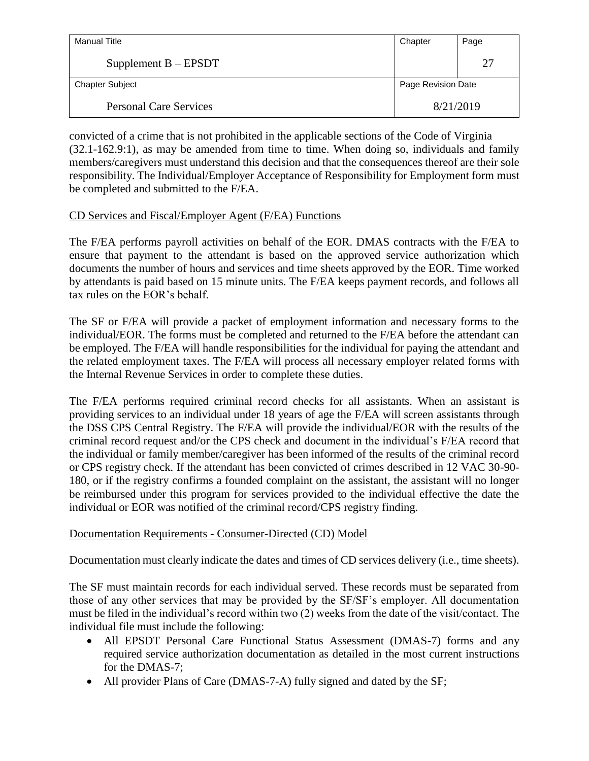| Manual Title                  | Chapter            | Page |
|-------------------------------|--------------------|------|
| Supplement $B - EPSDT$        |                    | 27   |
| <b>Chapter Subject</b>        | Page Revision Date |      |
| <b>Personal Care Services</b> | 8/21/2019          |      |

convicted of a crime that is not prohibited in the applicable sections of the Code of Virginia (32.1-162.9:1), as may be amended from time to time. When doing so, individuals and family members/caregivers must understand this decision and that the consequences thereof are their sole responsibility. The Individual/Employer Acceptance of Responsibility for Employment form must be completed and submitted to the F/EA.

# CD Services and Fiscal/Employer Agent (F/EA) Functions

The F/EA performs payroll activities on behalf of the EOR. DMAS contracts with the F/EA to ensure that payment to the attendant is based on the approved service authorization which documents the number of hours and services and time sheets approved by the EOR. Time worked by attendants is paid based on 15 minute units. The F/EA keeps payment records, and follows all tax rules on the EOR's behalf.

The SF or F/EA will provide a packet of employment information and necessary forms to the individual/EOR. The forms must be completed and returned to the F/EA before the attendant can be employed. The F/EA will handle responsibilities for the individual for paying the attendant and the related employment taxes. The F/EA will process all necessary employer related forms with the Internal Revenue Services in order to complete these duties.

The F/EA performs required criminal record checks for all assistants. When an assistant is providing services to an individual under 18 years of age the F/EA will screen assistants through the DSS CPS Central Registry. The F/EA will provide the individual/EOR with the results of the criminal record request and/or the CPS check and document in the individual's F/EA record that the individual or family member/caregiver has been informed of the results of the criminal record or CPS registry check. If the attendant has been convicted of crimes described in 12 VAC 30-90- 180, or if the registry confirms a founded complaint on the assistant, the assistant will no longer be reimbursed under this program for services provided to the individual effective the date the individual or EOR was notified of the criminal record/CPS registry finding.

# Documentation Requirements - Consumer-Directed (CD) Model

Documentation must clearly indicate the dates and times of CD services delivery (i.e., time sheets).

The SF must maintain records for each individual served. These records must be separated from those of any other services that may be provided by the SF/SF's employer. All documentation must be filed in the individual's record within two (2) weeks from the date of the visit/contact. The individual file must include the following:

- All EPSDT Personal Care Functional Status Assessment (DMAS-7) forms and any required service authorization documentation as detailed in the most current instructions for the DMAS-7;
- All provider Plans of Care (DMAS-7-A) fully signed and dated by the SF;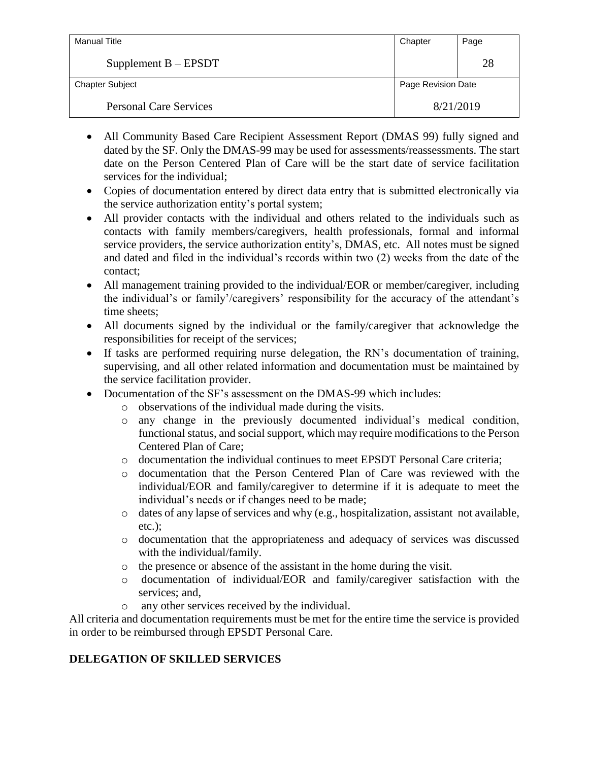| Manual Title                  | Chapter            | Page |
|-------------------------------|--------------------|------|
| Supplement $B - EPSDT$        |                    | 28   |
| <b>Chapter Subject</b>        | Page Revision Date |      |
| <b>Personal Care Services</b> | 8/21/2019          |      |

- All Community Based Care Recipient Assessment Report (DMAS 99) fully signed and dated by the SF. Only the DMAS-99 may be used for assessments/reassessments. The start date on the Person Centered Plan of Care will be the start date of service facilitation services for the individual;
- Copies of documentation entered by direct data entry that is submitted electronically via the service authorization entity's portal system;
- All provider contacts with the individual and others related to the individuals such as contacts with family members/caregivers, health professionals, formal and informal service providers, the service authorization entity's, DMAS, etc. All notes must be signed and dated and filed in the individual's records within two (2) weeks from the date of the contact;
- All management training provided to the individual/EOR or member/caregiver, including the individual's or family'/caregivers' responsibility for the accuracy of the attendant's time sheets;
- All documents signed by the individual or the family/caregiver that acknowledge the responsibilities for receipt of the services;
- If tasks are performed requiring nurse delegation, the RN's documentation of training, supervising, and all other related information and documentation must be maintained by the service facilitation provider.
- Documentation of the SF's assessment on the DMAS-99 which includes:
	- o observations of the individual made during the visits.
	- o any change in the previously documented individual's medical condition, functional status, and social support, which may require modifications to the Person Centered Plan of Care;
	- o documentation the individual continues to meet EPSDT Personal Care criteria;
	- o documentation that the Person Centered Plan of Care was reviewed with the individual/EOR and family/caregiver to determine if it is adequate to meet the individual's needs or if changes need to be made;
	- o dates of any lapse of services and why (e.g., hospitalization, assistant not available, etc.);
	- o documentation that the appropriateness and adequacy of services was discussed with the individual/family.
	- o the presence or absence of the assistant in the home during the visit.
	- o documentation of individual/EOR and family/caregiver satisfaction with the services; and,
	- o any other services received by the individual.

All criteria and documentation requirements must be met for the entire time the service is provided in order to be reimbursed through EPSDT Personal Care.

# **DELEGATION OF SKILLED SERVICES**